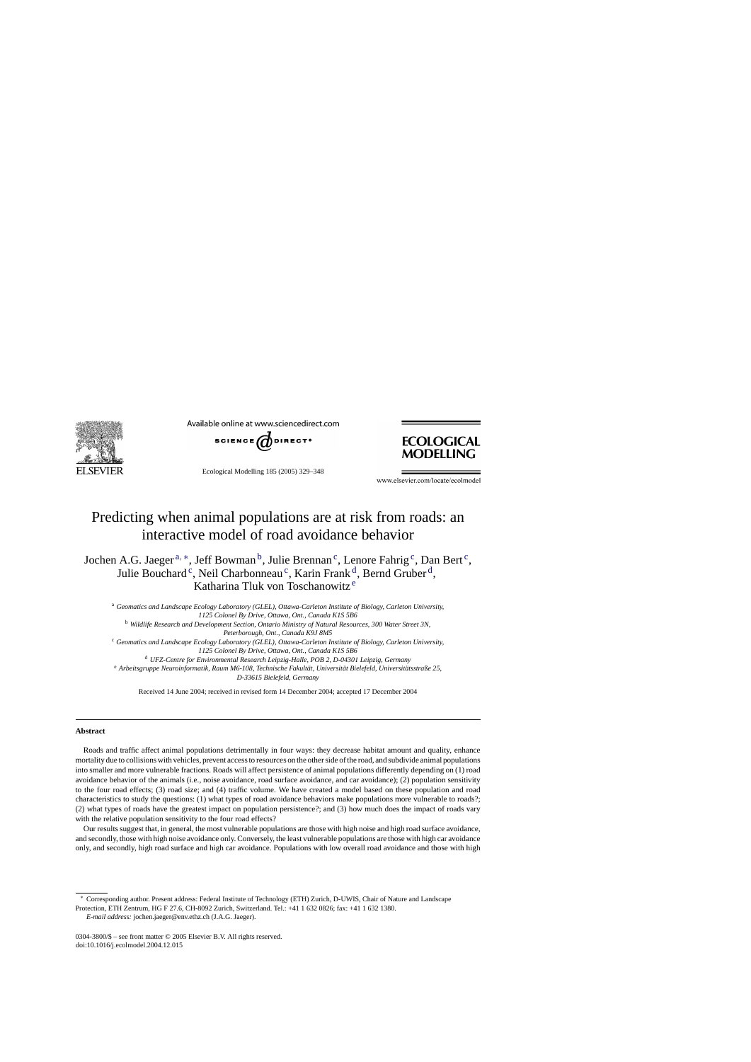

Available online at www.sciencedirect.com



Ecological Modelling 185 (2005) 329–348



www.elsevier.com/locate/ecolmodel

# Predicting when animal populations are at risk from roads: an interactive model of road avoidance behavior

Jochen A.G. Jaeger<sup>a, \*</sup>, Jeff Bowman<sup>b</sup>, Julie Brennan<sup>c</sup>, Lenore Fahrig<sup>c</sup>, Dan Bert<sup>c</sup>, Julie Bouchard<sup>c</sup>, Neil Charbonneau<sup>c</sup>, Karin Frank<sup>d</sup>, Bernd Gruber<sup>d</sup>, Katharina Tluk von Toschanowitz <sup>e</sup>

<sup>a</sup> *Geomatics and Landscape Ecology Laboratory (GLEL), Ottawa-Carleton Institute of Biology, Carleton University, 1125 Colonel By Drive, Ottawa, Ont., Canada K1S 5B6* <sup>b</sup> *Wildlife Research and Development Section, Ontario Ministry of Natural Resources, 300 Water Street 3N, Peterborough, Ont., Canada K9J 8M5* <sup>c</sup> *Geomatics and Landscape Ecology Laboratory (GLEL), Ottawa-Carleton Institute of Biology, Carleton University, 1125 Colonel By Drive, Ottawa, Ont., Canada K1S 5B6* <sup>d</sup> *UFZ-Centre for Environmental Research Leipzig-Halle, POB 2, D-04301 Leipzig, Germany* <sup>e</sup> *Arbeitsgruppe Neuroinformatik, Raum M6-108, Technische Fakult ¨at, Universit ¨at Bielefeld, Universit ¨atsstra*ß*e 25, D-33615 Bielefeld, Germany*

Received 14 June 2004; received in revised form 14 December 2004; accepted 17 December 2004

#### **Abstract**

Roads and traffic affect animal populations detrimentally in four ways: they decrease habitat amount and quality, enhance mortality due to collisions with vehicles, prevent access to resources on the other side of the road, and subdivide animal populations into smaller and more vulnerable fractions. Roads will affect persistence of animal populations differently depending on (1) road avoidance behavior of the animals (i.e., noise avoidance, road surface avoidance, and car avoidance); (2) population sensitivity to the four road effects; (3) road size; and (4) traffic volume. We have created a model based on these population and road characteristics to study the questions: (1) what types of road avoidance behaviors make populations more vulnerable to roads?; (2) what types of roads have the greatest impact on population persistence?; and (3) how much does the impact of roads vary with the relative population sensitivity to the four road effects?

Our results suggest that, in general, the most vulnerable populations are those with high noise and high road surface avoidance, and secondly, those with high noise avoidance only. Conversely, the least vulnerable populations are those with high car avoidance only, and secondly, high road surface and high car avoidance. Populations with low overall road avoidance and those with high

<sup>∗</sup> Corresponding author. Present address: Federal Institute of Technology (ETH) Zurich, D-UWIS, Chair of Nature and Landscape

Protection, ETH Zentrum, HG F 27.6, CH-8092 Zurich, Switzerland. Tel.: +41 1 632 0826; fax: +41 1 632 1380.

*E-mail address:* jochen.jaeger@env.ethz.ch (J.A.G. Jaeger).

<sup>0304-3800/\$ –</sup> see front matter © 2005 Elsevier B.V. All rights reserved. doi:10.1016/j.ecolmodel.2004.12.015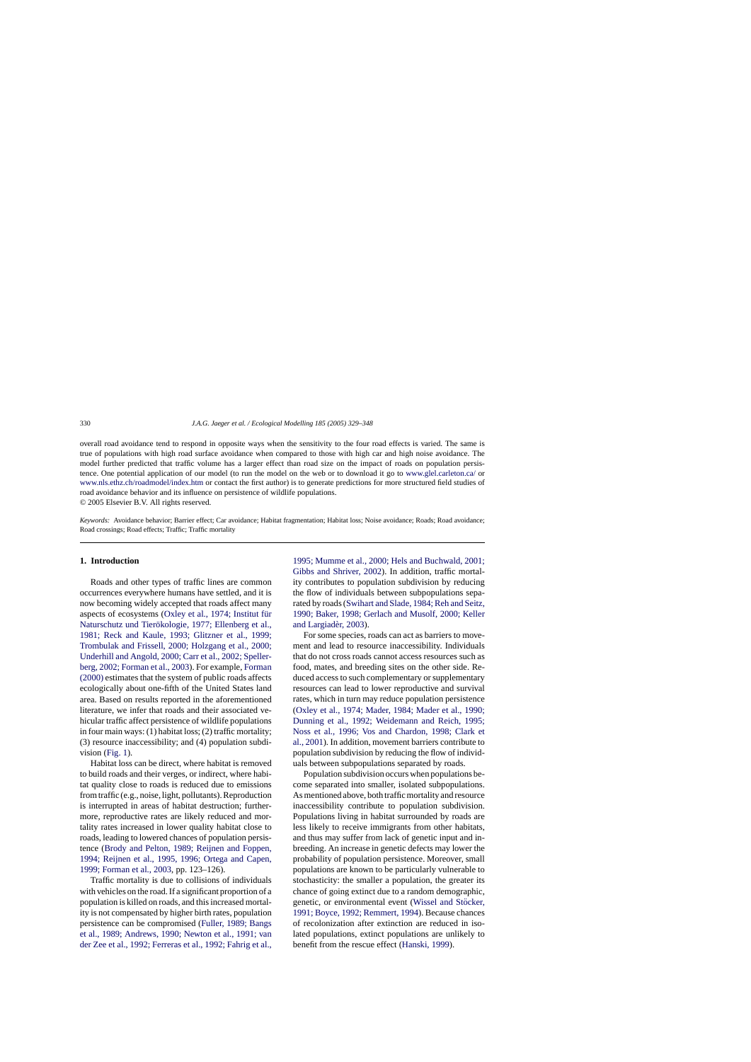overall road avoidance tend to respond in opposite ways when the sensitivity to the four road effects is varied. The same is true of populations with high road surface avoidance when compared to those with high car and high noise avoidance. The model further predicted that traffic volume has a larger effect than road size on the impact of roads on population persistence. One potential application of our model (to run the model on the web or to download it go to [www.glel.carleton.ca/](http://www.glel.carleton.ca/) or [www.nls.ethz.ch/roadmodel/index.htm](http://www.nls.ethz.ch/roadmodel/index.htm) or contact the first author) is to generate predictions for more structured field studies of road avoidance behavior and its influence on persistence of wildlife populations.

© 2005 Elsevier B.V. All rights reserved.

*Keywords:* Avoidance behavior; Barrier effect; Car avoidance; Habitat fragmentation; Habitat loss; Noise avoidance; Roads; Road avoidance; Road crossings; Road effects; Traffic; Traffic mortality

## **1. Introduction**

Roads and other types of traffic lines are common occurrences everywhere humans have settled, and it is now becoming widely accepted that roads affect many aspects of ecosystems (Oxley et al., 1974; Institut für Naturschutz und Tierökologie, 1977; Ellenberg et al., [1981; Reck and Kaule, 1993; Glitzner et al., 1999;](#page-19-0) [Trombulak and Frissell, 2000; Holzgang et al., 2000;](#page-19-0) [Underhill and Angold, 2000; Carr et al., 2002; Speller](#page-19-0)[berg, 2002; Forman et al., 2003\).](#page-19-0) For example, [Forman](#page-18-0) [\(2000\)](#page-18-0) estimates that the system of public roads affects ecologically about one-fifth of the United States land area. Based on results reported in the aforementioned literature, we infer that roads and their associated vehicular traffic affect persistence of wildlife populations in four main ways: (1) habitat loss; (2) traffic mortality; (3) resource inaccessibility; and (4) population subdivision ([Fig. 1\).](#page-2-0)

Habitat loss can be direct, where habitat is removed to build roads and their verges, or indirect, where habitat quality close to roads is reduced due to emissions from traffic (e.g., noise, light, pollutants). Reproduction is interrupted in areas of habitat destruction; furthermore, reproductive rates are likely reduced and mortality rates increased in lower quality habitat close to roads, leading to lowered chances of population persistence [\(Brody and Pelton, 1989; Reijnen and Foppen,](#page-17-0) [1994; Reijnen et al., 1995, 1996; Ortega and Capen,](#page-17-0) [1999; Forman et al., 2003,](#page-17-0) pp. 123–126).

Traffic mortality is due to collisions of individuals with vehicles on the road. If a significant proportion of a population is killed on roads, and this increased mortality is not compensated by higher birth rates, population persistence can be compromised ([Fuller, 1989; Bangs](#page-18-0) [et al., 1989; Andrews, 1990; Newton et al., 1991; van](#page-18-0) [der Zee et al., 1992; Ferreras et al., 1992; Fahrig et al.,](#page-18-0) [1995; Mumme et al., 2000; Hels and Buchwald, 2001;](#page-18-0) [Gibbs and Shriver, 2002\)](#page-18-0). In addition, traffic mortality contributes to population subdivision by reducing the flow of individuals between subpopulations separated by roads [\(Swihart and Slade, 1984; Reh and Seitz,](#page-19-0) [1990; Baker, 1998; Gerlach and Musolf, 2000; Keller](#page-19-0) [and Largiader, 2003](#page-19-0)).

For some species, roads can act as barriers to movement and lead to resource inaccessibility. Individuals that do not cross roads cannot access resources such as food, mates, and breeding sites on the other side. Reduced access to such complementary or supplementary resources can lead to lower reproductive and survival rates, which in turn may reduce population persistence ([Oxley et al., 1974; Mader, 1984; Mader et al., 1990;](#page-19-0) [Dunning et al., 1992; Weidemann and Reich, 1995;](#page-19-0) [Noss et al., 1996; Vos and Chardon, 1998; Clark et](#page-19-0) [al., 2001\).](#page-19-0) In addition, movement barriers contribute to population subdivision by reducing the flow of individuals between subpopulations separated by roads.

Population subdivision occurs when populations become separated into smaller, isolated subpopulations. As mentioned above, both traffic mortality and resource inaccessibility contribute to population subdivision. Populations living in habitat surrounded by roads are less likely to receive immigrants from other habitats, and thus may suffer from lack of genetic input and inbreeding. An increase in genetic defects may lower the probability of population persistence. Moreover, small populations are known to be particularly vulnerable to stochasticity: the smaller a population, the greater its chance of going extinct due to a random demographic, genetic, or environmental event (Wissel and Stöcker, [1991; Boyce, 1992; Remmert, 1994\).](#page-19-0) Because chances of recolonization after extinction are reduced in isolated populations, extinct populations are unlikely to benefit from the rescue effect ([Hanski, 1999\).](#page-18-0)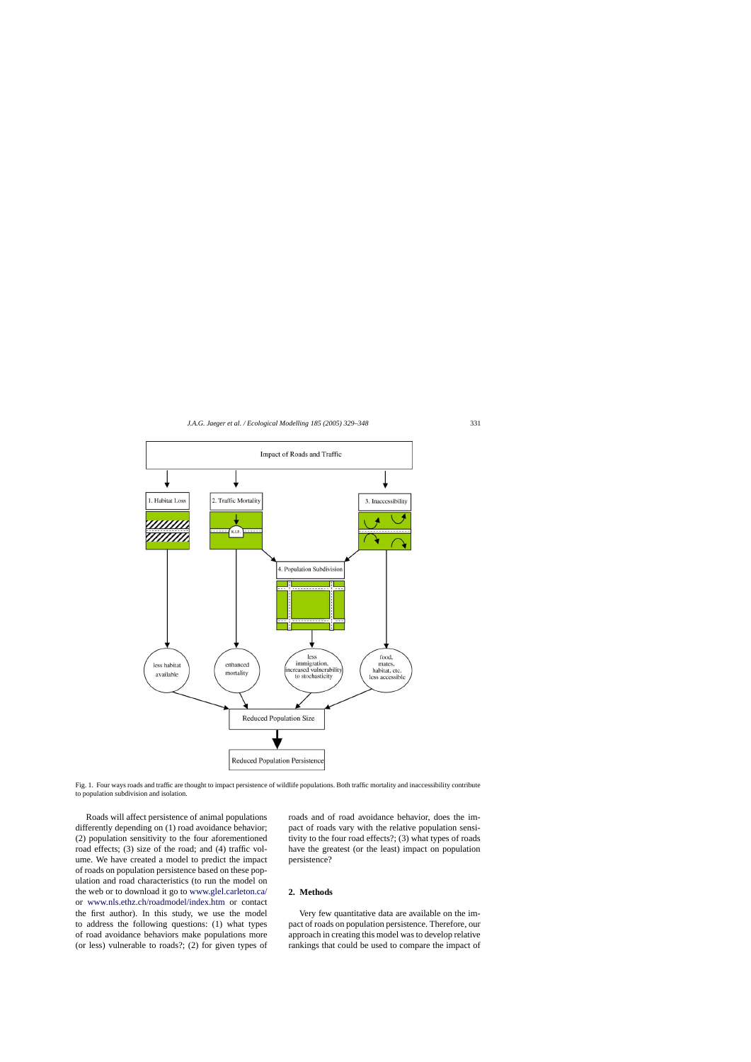<span id="page-2-0"></span>

Fig. 1. Four ways roads and traffic are thought to impact persistence of wildlife populations. Both traffic mortality and inaccessibility contribute to population subdivision and isolation.

Roads will affect persistence of animal populations differently depending on (1) road avoidance behavior; (2) population sensitivity to the four aforementioned road effects; (3) size of the road; and (4) traffic volume. We have created a model to predict the impact of roads on population persistence based on these population and road characteristics (to run the model on the web or to download it go to [www.glel.carleton.ca/](http://www.glel.carleton.ca/) or [www.nls.ethz.ch/roadmodel/index.htm](http://www.nls.ethz.ch/roadmodel/index.htm) or contact the first author). In this study, we use the model to address the following questions: (1) what types of road avoidance behaviors make populations more (or less) vulnerable to roads?; (2) for given types of roads and of road avoidance behavior, does the impact of roads vary with the relative population sensitivity to the four road effects?; (3) what types of roads have the greatest (or the least) impact on population persistence?

## **2. Methods**

Very few quantitative data are available on the impact of roads on population persistence. Therefore, our approach in creating this model was to develop relative rankings that could be used to compare the impact of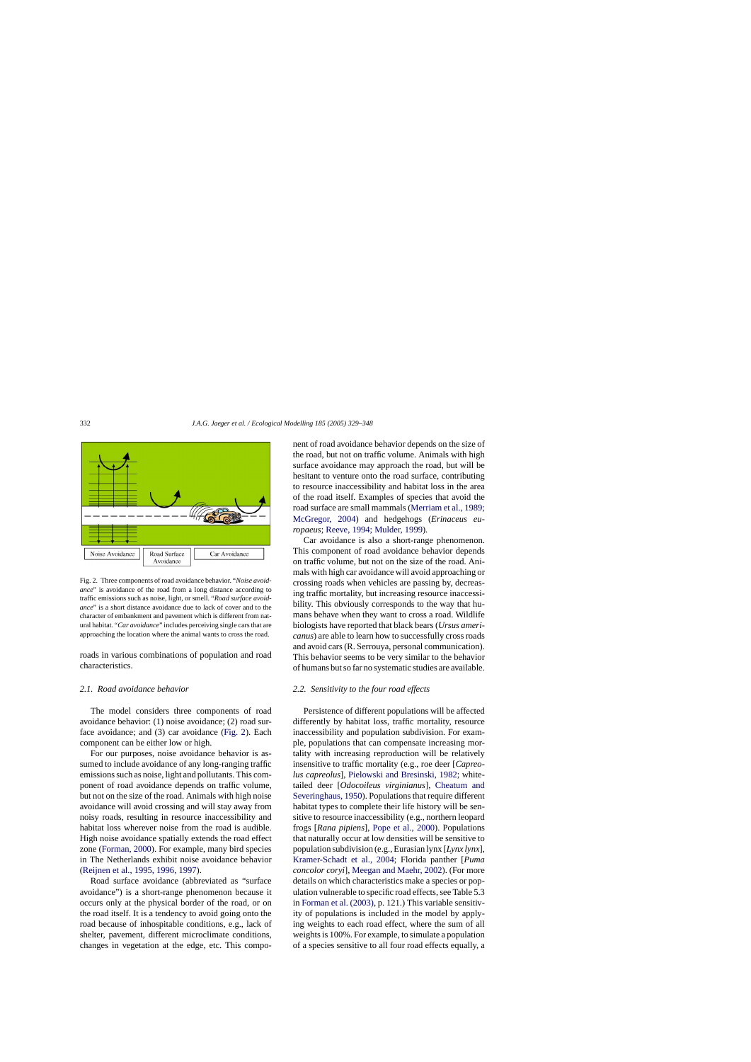

Fig. 2. Three components of road avoidance behavior. "*Noise avoidance*" is avoidance of the road from a long distance according to traffic emissions such as noise, light, or smell. "*Road surface avoidance*" is a short distance avoidance due to lack of cover and to the character of embankment and pavement which is different from natural habitat. "*Car avoidance*" includes perceiving single cars that are approaching the location where the animal wants to cross the road.

roads in various combinations of population and road characteristics.

#### *2.1. Road avoidance behavior*

The model considers three components of road avoidance behavior: (1) noise avoidance; (2) road surface avoidance; and (3) car avoidance (Fig. 2). Each component can be either low or high.

For our purposes, noise avoidance behavior is assumed to include avoidance of any long-ranging traffic emissions such as noise, light and pollutants. This component of road avoidance depends on traffic volume, but not on the size of the road. Animals with high noise avoidance will avoid crossing and will stay away from noisy roads, resulting in resource inaccessibility and habitat loss wherever noise from the road is audible. High noise avoidance spatially extends the road effect zone [\(Forman, 2000\).](#page-18-0) For example, many bird species in The Netherlands exhibit noise avoidance behavior ([Reijnen et al., 1995, 1996, 1997\).](#page-19-0)

Road surface avoidance (abbreviated as "surface avoidance") is a short-range phenomenon because it occurs only at the physical border of the road, or on the road itself. It is a tendency to avoid going onto the road because of inhospitable conditions, e.g., lack of shelter, pavement, different microclimate conditions, changes in vegetation at the edge, etc. This component of road avoidance behavior depends on the size of the road, but not on traffic volume. Animals with high surface avoidance may approach the road, but will be hesitant to venture onto the road surface, contributing to resource inaccessibility and habitat loss in the area of the road itself. Examples of species that avoid the road surface are small mammals ([Merriam et al., 1989;](#page-18-0) [McGregor, 2004](#page-18-0)) and hedgehogs (*Erinaceus europaeus*; [Reeve, 1994; Mulder, 1999\).](#page-19-0)

Car avoidance is also a short-range phenomenon. This component of road avoidance behavior depends on traffic volume, but not on the size of the road. Animals with high car avoidance will avoid approaching or crossing roads when vehicles are passing by, decreasing traffic mortality, but increasing resource inaccessibility. This obviously corresponds to the way that humans behave when they want to cross a road. Wildlife biologists have reported that black bears (*Ursus americanus*) are able to learn how to successfully cross roads and avoid cars (R. Serrouya, personal communication). This behavior seems to be very similar to the behavior of humans but so far no systematic studies are available.

#### *2.2. Sensitivity to the four road effects*

Persistence of different populations will be affected differently by habitat loss, traffic mortality, resource inaccessibility and population subdivision. For example, populations that can compensate increasing mortality with increasing reproduction will be relatively insensitive to traffic mortality (e.g., roe deer [*Capreolus capreolus*], [Pielowski and Bresinski, 1982;](#page-19-0) whitetailed deer [*Odocoileus virginianus*], [Cheatum and](#page-17-0) [Severinghaus, 1950\).](#page-17-0) Populations that require different habitat types to complete their life history will be sensitive to resource inaccessibility (e.g., northern leopard frogs [*Rana pipiens*], [Pope et al., 2000\)](#page-19-0). Populations that naturally occur at low densities will be sensitive to population subdivision (e.g., Eurasian lynx [*Lynx lynx*], [Kramer-Schadt et al., 2004](#page-18-0); Florida panther [*Puma concolor coryi*], [Meegan and Maehr, 2002\).](#page-18-0) (For more details on which characteristics make a species or population vulnerable to specific road effects, see Table 5.3 in [Forman et al. \(2003\), p](#page-18-0). 121.) This variable sensitivity of populations is included in the model by applying weights to each road effect, where the sum of all weights is 100%. For example, to simulate a population of a species sensitive to all four road effects equally, a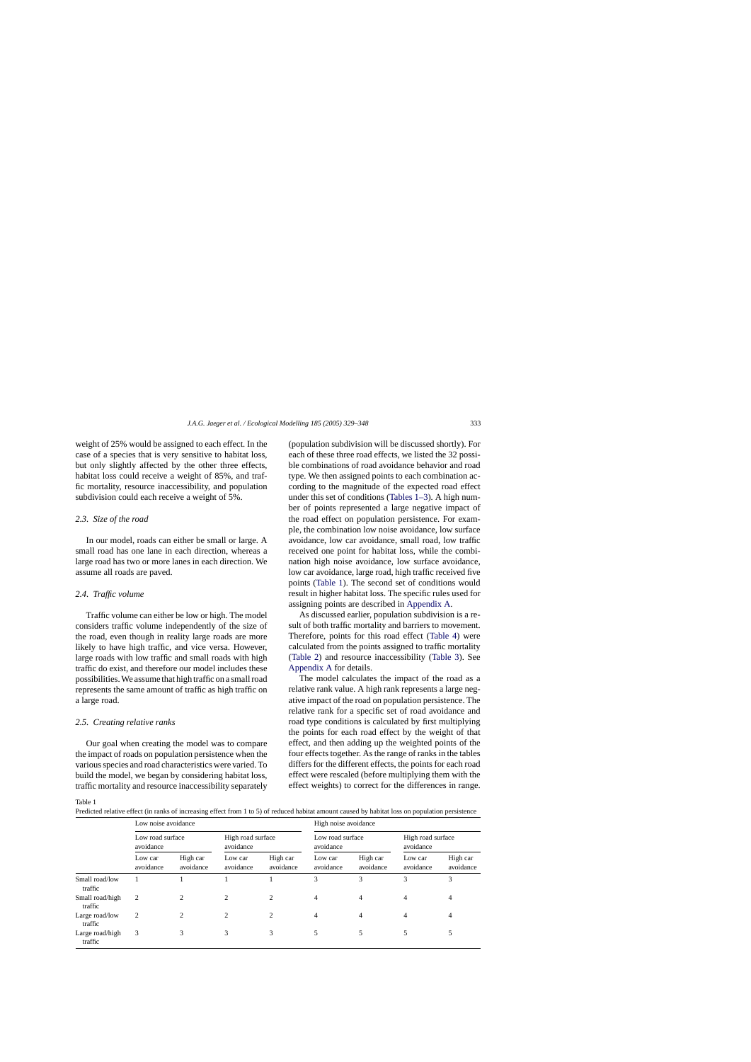<span id="page-4-0"></span>weight of 25% would be assigned to each effect. In the case of a species that is very sensitive to habitat loss, but only slightly affected by the other three effects, habitat loss could receive a weight of 85%, and traffic mortality, resource inaccessibility, and population subdivision could each receive a weight of 5%.

## *2.3. Size of the road*

In our model, roads can either be small or large. A small road has one lane in each direction, whereas a large road has two or more lanes in each direction. We assume all roads are paved.

#### *2.4. Traffic volume*

Traffic volume can either be low or high. The model considers traffic volume independently of the size of the road, even though in reality large roads are more likely to have high traffic, and vice versa. However, large roads with low traffic and small roads with high traffic do exist, and therefore our model includes these possibilities. We assume that high traffic on a small road represents the same amount of traffic as high traffic on a large road.

## *2.5. Creating relative ranks*

Our goal when creating the model was to compare the impact of roads on population persistence when the various species and road characteristics were varied. To build the model, we began by considering habitat loss, traffic mortality and resource inaccessibility separately (population subdivision will be discussed shortly). For each of these three road effects, we listed the 32 possible combinations of road avoidance behavior and road type. We then assigned points to each combination according to the magnitude of the expected road effect under this set of conditions (Tables 1–3). A high number of points represented a large negative impact of the road effect on population persistence. For example, the combination low noise avoidance, low surface avoidance, low car avoidance, small road, low traffic received one point for habitat loss, while the combination high noise avoidance, low surface avoidance, low car avoidance, large road, high traffic received five points (Table 1). The second set of conditions would result in higher habitat loss. The specific rules used for assigning points are described in [Appendix A.](#page-12-0)

As discussed earlier, population subdivision is a result of both traffic mortality and barriers to movement. Therefore, points for this road effect ([Table 4\)](#page-5-0) were calculated from the points assigned to traffic mortality [\(Table 2\)](#page-5-0) and resource inaccessibility [\(Table 3\).](#page-5-0) See [Appendix A](#page-12-0) for details.

The model calculates the impact of the road as a relative rank value. A high rank represents a large negative impact of the road on population persistence. The relative rank for a specific set of road avoidance and road type conditions is calculated by first multiplying the points for each road effect by the weight of that effect, and then adding up the weighted points of the four effects together. As the range of ranks in the tables differs for the different effects, the points for each road effect were rescaled (before multiplying them with the effect weights) to correct for the differences in range.

Table 1

|  | Predicted relative effect (in ranks of increasing effect from 1 to 5) of reduced habitat amount caused by habitat loss on population persistence |  |
|--|--------------------------------------------------------------------------------------------------------------------------------------------------|--|
|  |                                                                                                                                                  |  |

|                            | Low noise avoidance           |                             |                      |                                                                                      |                      | High noise avoidance  |                      |                       |  |
|----------------------------|-------------------------------|-----------------------------|----------------------|--------------------------------------------------------------------------------------|----------------------|-----------------------|----------------------|-----------------------|--|
|                            | Low road surface<br>avoidance |                             | avoidance            | High road surface<br>Low road surface<br>High road surface<br>avoidance<br>avoidance |                      |                       |                      |                       |  |
|                            | Low car<br>avoidance          | High car<br>avoidance       | Low car<br>avoidance | High car<br>avoidance                                                                | Low car<br>avoidance | High car<br>avoidance | Low car<br>avoidance | High car<br>avoidance |  |
| Small road/low<br>traffic  |                               |                             |                      |                                                                                      | 3                    | 3                     | 3                    | 3                     |  |
| Small road/high<br>traffic | $\overline{c}$                | $\mathcal{D}_{\mathcal{L}}$ | 2                    | 2                                                                                    | 4                    | $\overline{4}$        | 4                    | $\overline{4}$        |  |
| Large road/low<br>traffic  | $\overline{c}$                | $\mathcal{D}_{\mathcal{L}}$ | 2                    | $\overline{2}$                                                                       | $\overline{4}$       | $\overline{4}$        | 4                    | $\overline{4}$        |  |
| Large road/high<br>traffic | 3                             | 3                           | 3                    | 3                                                                                    | 5                    | 5                     |                      | 5                     |  |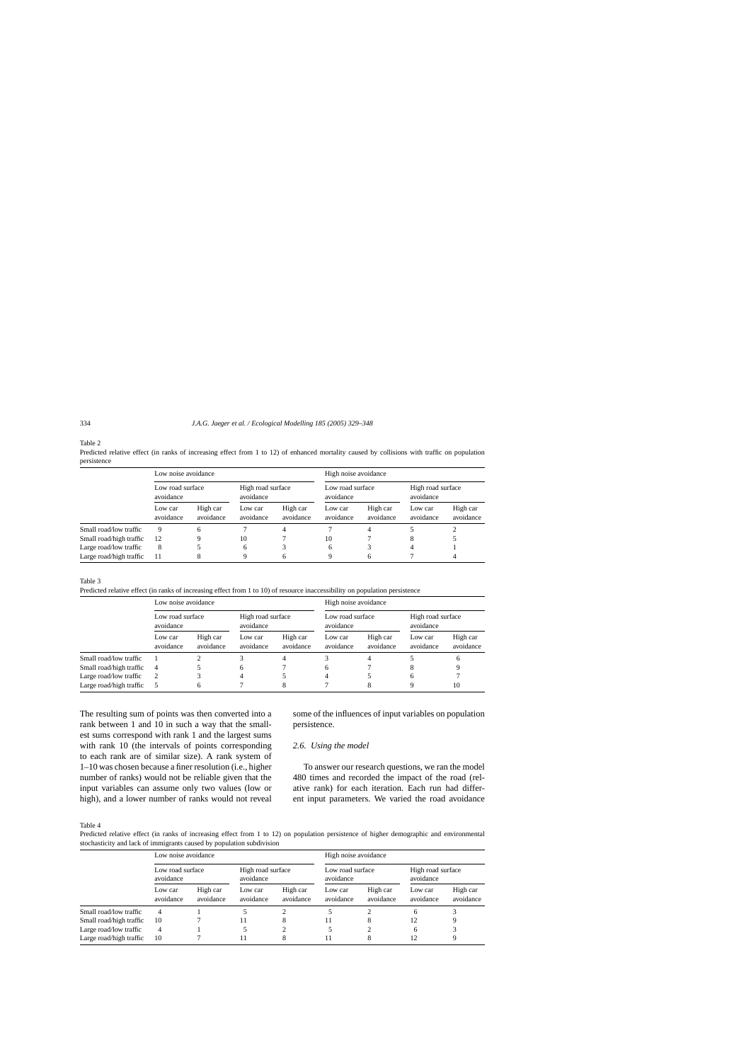<span id="page-5-0"></span>Table 2

|                         | Low noise avoidance           |                       |                                |                       | High noise avoidance                                            |                       |                      |                       |  |  |
|-------------------------|-------------------------------|-----------------------|--------------------------------|-----------------------|-----------------------------------------------------------------|-----------------------|----------------------|-----------------------|--|--|
|                         | Low road surface<br>avoidance |                       | High road surface<br>avoidance |                       | High road surface<br>Low road surface<br>avoidance<br>avoidance |                       |                      |                       |  |  |
|                         | Low car<br>avoidance          | High car<br>avoidance | Low car<br>avoidance           | High car<br>avoidance | Low car<br>avoidance                                            | High car<br>avoidance | Low car<br>avoidance | High car<br>avoidance |  |  |
| Small road/low traffic  | 9                             | h                     |                                |                       |                                                                 |                       |                      |                       |  |  |
| Small road/high traffic | 12                            |                       | 10                             |                       | 10                                                              |                       |                      |                       |  |  |
| Large road/low traffic  | 8                             |                       | 6                              |                       | 6                                                               |                       |                      |                       |  |  |
| Large road/high traffic | -11                           |                       | c                              |                       |                                                                 | h                     |                      |                       |  |  |

Predicted relative effect (in ranks of increasing effect from 1 to 12) of enhanced mortality caused by collisions with traffic on population persistence

Table 3

Predicted relative effect (in ranks of increasing effect from 1 to 10) of resource inaccessibility on population persistence

|                         | Low noise avoidance           |                       |                                |                       | High noise avoidance                                            |                       |                      |                       |  |  |
|-------------------------|-------------------------------|-----------------------|--------------------------------|-----------------------|-----------------------------------------------------------------|-----------------------|----------------------|-----------------------|--|--|
|                         | Low road surface<br>avoidance |                       | High road surface<br>avoidance |                       | Low road surface<br>High road surface<br>avoidance<br>avoidance |                       |                      |                       |  |  |
|                         | Low car<br>avoidance          | High car<br>avoidance | Low car<br>avoidance           | High car<br>avoidance | Low car<br>avoidance                                            | High car<br>avoidance | Low car<br>avoidance | High car<br>avoidance |  |  |
| Small road/low traffic  |                               |                       |                                |                       |                                                                 |                       |                      | 6                     |  |  |
| Small road/high traffic | 4                             |                       | 6                              |                       | <sub>6</sub>                                                    |                       |                      |                       |  |  |
| Large road/low traffic  | 2                             |                       |                                |                       |                                                                 |                       |                      |                       |  |  |
| Large road/high traffic |                               | 6                     |                                | 8                     |                                                                 |                       |                      | 10                    |  |  |

The resulting sum of points was then converted into a rank between 1 and 10 in such a way that the smallest sums correspond with rank 1 and the largest sums with rank 10 (the intervals of points corresponding to each rank are of similar size). A rank system of 1–10 was chosen because a finer resolution (i.e., higher number of ranks) would not be reliable given that the input variables can assume only two values (low or high), and a lower number of ranks would not reveal some of the influences of input variables on population persistence.

#### *2.6. Using the model*

To answer our research questions, we ran the model 480 times and recorded the impact of the road (relative rank) for each iteration. Each run had different input parameters. We varied the road avoidance

Table 4

Predicted relative effect (in ranks of increasing effect from 1 to 12) on population persistence of higher demographic and environmental stochasticity and lack of immigrants caused by population subdivision

|                         | Low noise avoidance           |                       |                                |                       | High noise avoidance          |                       |                                |                       |  |  |
|-------------------------|-------------------------------|-----------------------|--------------------------------|-----------------------|-------------------------------|-----------------------|--------------------------------|-----------------------|--|--|
|                         | Low road surface<br>avoidance |                       | High road surface<br>avoidance |                       | Low road surface<br>avoidance |                       | High road surface<br>avoidance |                       |  |  |
|                         | Low car<br>avoidance          | High car<br>avoidance | Low car<br>avoidance           | High car<br>avoidance | Low car<br>avoidance          | High car<br>avoidance | Low car<br>avoidance           | High car<br>avoidance |  |  |
| Small road/low traffic  | 4                             |                       |                                |                       |                               |                       | 6                              |                       |  |  |
| Small road/high traffic | 10                            |                       | 11                             | 8                     |                               |                       | 12                             |                       |  |  |
| Large road/low traffic  | 4                             |                       |                                |                       |                               |                       | 6                              |                       |  |  |
| Large road/high traffic | 10                            |                       |                                |                       |                               |                       | 12                             |                       |  |  |
|                         |                               |                       |                                |                       |                               |                       |                                |                       |  |  |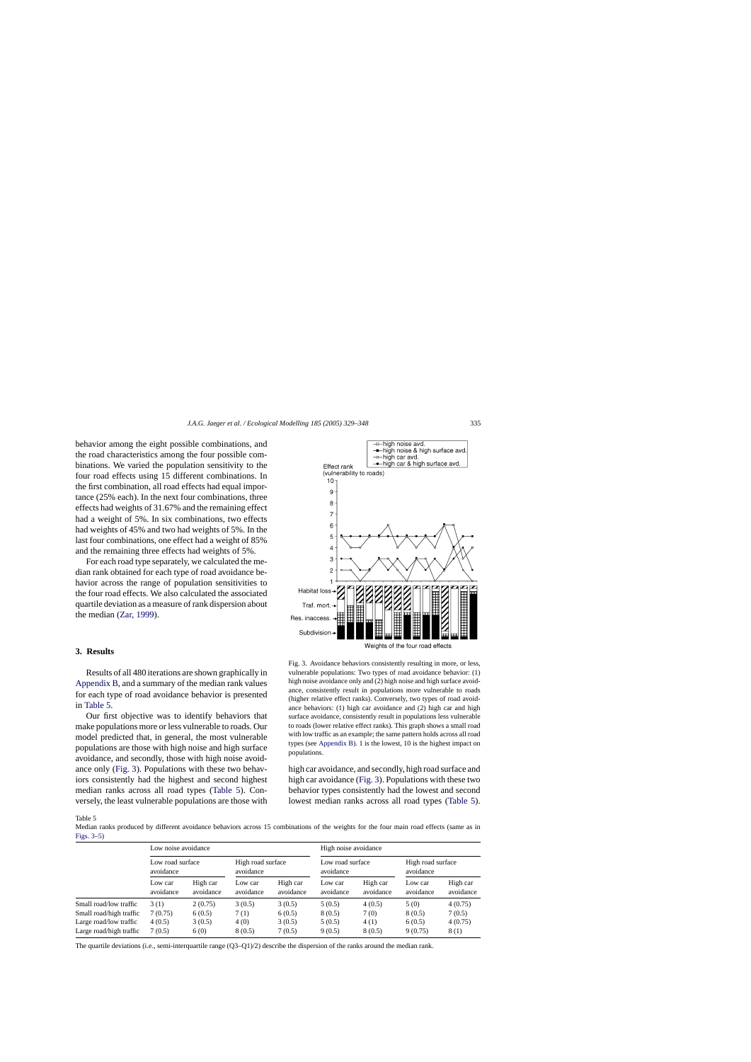<span id="page-6-0"></span>behavior among the eight possible combinations, and the road characteristics among the four possible combinations. We varied the population sensitivity to the four road effects using 15 different combinations. In the first combination, all road effects had equal importance (25% each). In the next four combinations, three effects had weights of 31.67% and the remaining effect had a weight of 5%. In six combinations, two effects had weights of 45% and two had weights of 5%. In the last four combinations, one effect had a weight of 85% and the remaining three effects had weights of 5%.

For each road type separately, we calculated the median rank obtained for each type of road avoidance behavior across the range of population sensitivities to the four road effects. We also calculated the associated quartile deviation as a measure of rank dispersion about the median [\(Zar, 1999\).](#page-19-0)

#### **3. Results**

Results of all 480 iterations are shown graphically in [Appendix B, a](#page-17-0)nd a summary of the median rank values for each type of road avoidance behavior is presented in Table 5.

Our first objective was to identify behaviors that make populations more or less vulnerable to roads. Our model predicted that, in general, the most vulnerable populations are those with high noise and high surface avoidance, and secondly, those with high noise avoidance only (Fig. 3). Populations with these two behaviors consistently had the highest and second highest median ranks across all road types (Table 5). Conversely, the least vulnerable populations are those with



Fig. 3. Avoidance behaviors consistently resulting in more, or less, vulnerable populations: Two types of road avoidance behavior: (1) high noise avoidance only and (2) high noise and high surface avoidance, consistently result in populations more vulnerable to roads (higher relative effect ranks). Conversely, two types of road avoidance behaviors: (1) high car avoidance and (2) high car and high surface avoidance, consistently result in populations less vulnerable to roads (lower relative effect ranks). This graph shows a small road with low traffic as an example; the same pattern holds across all road types (see [Appendix B\).](#page-17-0) 1 is the lowest, 10 is the highest impact on populations.

high car avoidance, and secondly, high road surface and high car avoidance (Fig. 3). Populations with these two behavior types consistently had the lowest and second lowest median ranks across all road types (Table 5).

Table 5

Median ranks produced by different avoidance behaviors across 15 combinations of the weights for the four main road effects (same as in Figs. 3–5)

|                         | Low noise avoidance           |                       |                                |                                                                 | High noise avoidance |                       |                      |                       |  |
|-------------------------|-------------------------------|-----------------------|--------------------------------|-----------------------------------------------------------------|----------------------|-----------------------|----------------------|-----------------------|--|
|                         | Low road surface<br>avoidance |                       | High road surface<br>avoidance | Low road surface<br>High road surface<br>avoidance<br>avoidance |                      |                       |                      |                       |  |
|                         | Low car<br>avoidance          | High car<br>avoidance | Low car<br>avoidance           | High car<br>avoidance                                           | Low car<br>avoidance | High car<br>avoidance | Low car<br>avoidance | High car<br>avoidance |  |
| Small road/low traffic  | 3(1)                          | 2(0.75)               | 3(0.5)                         | 3(0.5)                                                          | 5(0.5)               | 4(0.5)                | 5(0)                 | 4(0.75)               |  |
| Small road/high traffic | 7(0.75)                       | 6(0.5)                | 7(1)                           | 6(0.5)                                                          | 8(0.5)               | 7(0)                  | 8(0.5)               | 7(0.5)                |  |
| Large road/low traffic  | 4(0.5)                        | 3(0.5)                | 4(0)                           | 3(0.5)                                                          | 5(0.5)               | 4(1)                  | 6(0.5)               | 4(0.75)               |  |
| Large road/high traffic | 7(0.5)                        | 6(0)                  | 8(0.5)                         | 7(0.5)                                                          | 9(0.5)               | 8(0.5)                | 9(0.75)              | 8(1)                  |  |

The quartile deviations (i.e., semi-interquartile range (Q3–Q1)/2) describe the dispersion of the ranks around the median rank.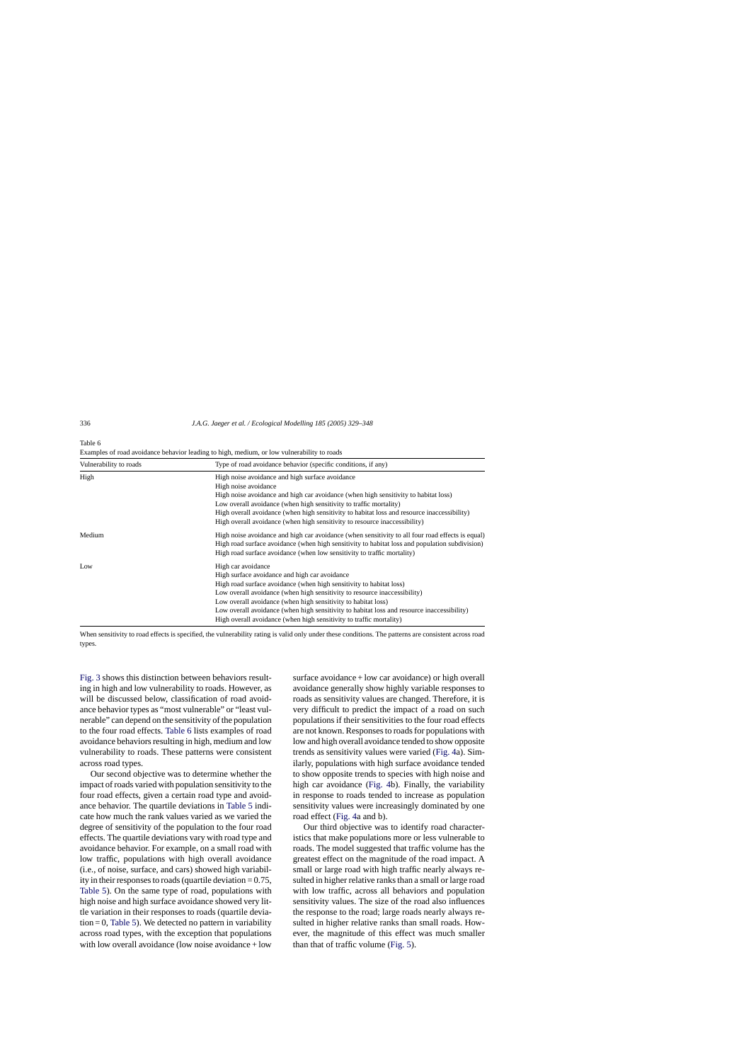Table 6

Examples of road avoidance behavior leading to high, medium, or low vulnerability to roads

| Vulnerability to roads | Type of road avoidance behavior (specific conditions, if any)                                                                                                                                                                                                                                                                                                                                                                                                 |
|------------------------|---------------------------------------------------------------------------------------------------------------------------------------------------------------------------------------------------------------------------------------------------------------------------------------------------------------------------------------------------------------------------------------------------------------------------------------------------------------|
| High                   | High noise avoidance and high surface avoidance<br>High noise avoidance<br>High noise avoidance and high car avoidance (when high sensitivity to habitat loss)<br>Low overall avoidance (when high sensitivity to traffic mortality)<br>High overall avoidance (when high sensitivity to habitat loss and resource inaccessibility)<br>High overall avoidance (when high sensitivity to resource inaccessibility)                                             |
| Medium                 | High noise avoidance and high car avoidance (when sensitivity to all four road effects is equal)<br>High road surface avoidance (when high sensitivity to habitat loss and population subdivision)<br>High road surface avoidance (when low sensitivity to traffic mortality)                                                                                                                                                                                 |
| Low                    | High car avoidance<br>High surface avoidance and high car avoidance<br>High road surface avoidance (when high sensitivity to habitat loss)<br>Low overall avoidance (when high sensitivity to resource inaccessibility)<br>Low overall avoidance (when high sensitivity to habitat loss)<br>Low overall avoidance (when high sensitivity to habitat loss and resource inaccessibility)<br>High overall avoidance (when high sensitivity to traffic mortality) |

When sensitivity to road effects is specified, the vulnerability rating is valid only under these conditions. The patterns are consistent across road types.

[Fig. 3](#page-6-0) shows this distinction between behaviors resulting in high and low vulnerability to roads. However, as will be discussed below, classification of road avoidance behavior types as "most vulnerable" or "least vulnerable" can depend on the sensitivity of the population to the four road effects. Table 6 lists examples of road avoidance behaviors resulting in high, medium and low vulnerability to roads. These patterns were consistent across road types.

Our second objective was to determine whether the impact of roads varied with population sensitivity to the four road effects, given a certain road type and avoidance behavior. The quartile deviations in [Table 5](#page-6-0) indicate how much the rank values varied as we varied the degree of sensitivity of the population to the four road effects. The quartile deviations vary with road type and avoidance behavior. For example, on a small road with low traffic, populations with high overall avoidance (i.e., of noise, surface, and cars) showed high variability in their responses to roads (quartile deviation  $= 0.75$ , [Table 5\).](#page-6-0) On the same type of road, populations with high noise and high surface avoidance showed very little variation in their responses to roads (quartile devia- $\tau$  tion = 0, [Table 5\).](#page-6-0) We detected no pattern in variability across road types, with the exception that populations with low overall avoidance (low noise avoidance + low surface avoidance + low car avoidance) or high overall avoidance generally show highly variable responses to roads as sensitivity values are changed. Therefore, it is very difficult to predict the impact of a road on such populations if their sensitivities to the four road effects are not known. Responses to roads for populations with low and high overall avoidance tended to show opposite trends as sensitivity values were varied ([Fig. 4a\)](#page-8-0). Similarly, populations with high surface avoidance tended to show opposite trends to species with high noise and high car avoidance ([Fig. 4b](#page-8-0)). Finally, the variability in response to roads tended to increase as population sensitivity values were increasingly dominated by one road effect [\(Fig. 4a](#page-8-0) and b).

Our third objective was to identify road characteristics that make populations more or less vulnerable to roads. The model suggested that traffic volume has the greatest effect on the magnitude of the road impact. A small or large road with high traffic nearly always resulted in higher relative ranks than a small or large road with low traffic, across all behaviors and population sensitivity values. The size of the road also influences the response to the road; large roads nearly always resulted in higher relative ranks than small roads. However, the magnitude of this effect was much smaller than that of traffic volume [\(Fig. 5\).](#page-9-0)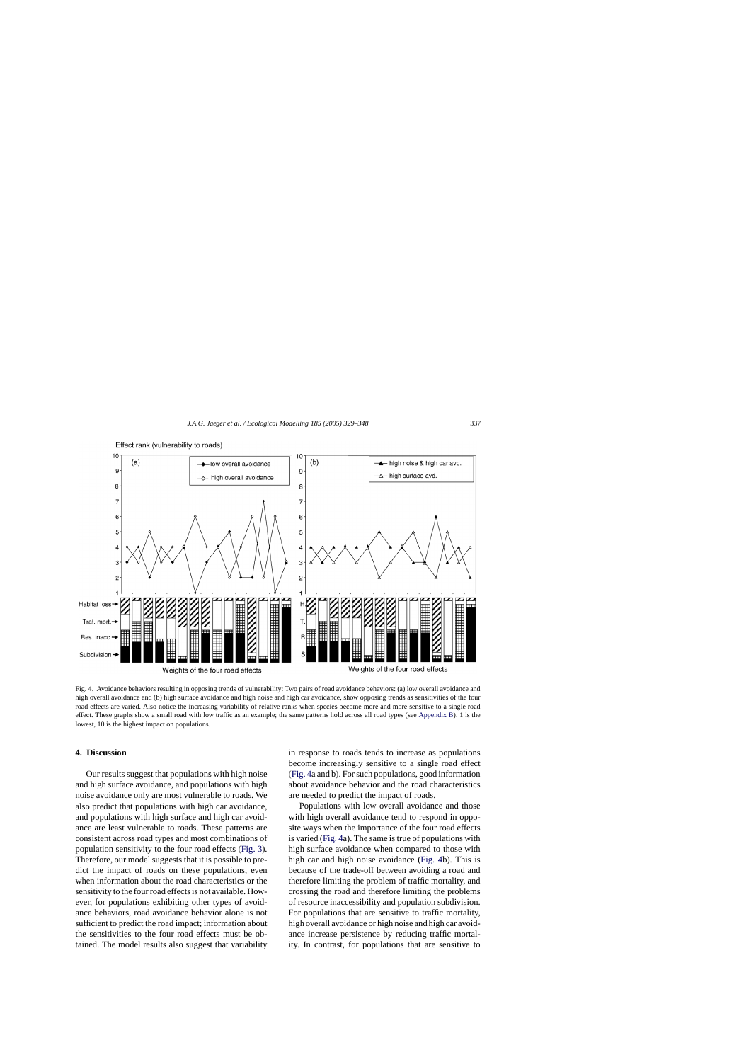<span id="page-8-0"></span>

Effect rank (vulnerability to roads)

Fig. 4. Avoidance behaviors resulting in opposing trends of vulnerability: Two pairs of road avoidance behaviors: (a) low overall avoidance and high overall avoidance and (b) high surface avoidance and high noise and high car avoidance, show opposing trends as sensitivities of the four road effects are varied. Also notice the increasing variability of relative ranks when species become more and more sensitive to a single road effect. These graphs show a small road with low traffic as an example; the same patterns hold across all road types (see [Appendix B\).](#page-17-0) 1 is the lowest, 10 is the highest impact on populations.

#### **4. Discussion**

Our results suggest that populations with high noise and high surface avoidance, and populations with high noise avoidance only are most vulnerable to roads. We also predict that populations with high car avoidance, and populations with high surface and high car avoidance are least vulnerable to roads. These patterns are consistent across road types and most combinations of population sensitivity to the four road effects ([Fig. 3\).](#page-6-0) Therefore, our model suggests that it is possible to predict the impact of roads on these populations, even when information about the road characteristics or the sensitivity to the four road effects is not available. However, for populations exhibiting other types of avoidance behaviors, road avoidance behavior alone is not sufficient to predict the road impact; information about the sensitivities to the four road effects must be obtained. The model results also suggest that variability in response to roads tends to increase as populations become increasingly sensitive to a single road effect (Fig. 4a and b). For such populations, good information about avoidance behavior and the road characteristics are needed to predict the impact of roads.

Populations with low overall avoidance and those with high overall avoidance tend to respond in opposite ways when the importance of the four road effects is varied (Fig. 4a). The same is true of populations with high surface avoidance when compared to those with high car and high noise avoidance (Fig. 4b). This is because of the trade-off between avoiding a road and therefore limiting the problem of traffic mortality, and crossing the road and therefore limiting the problems of resource inaccessibility and population subdivision. For populations that are sensitive to traffic mortality, high overall avoidance or high noise and high car avoidance increase persistence by reducing traffic mortality. In contrast, for populations that are sensitive to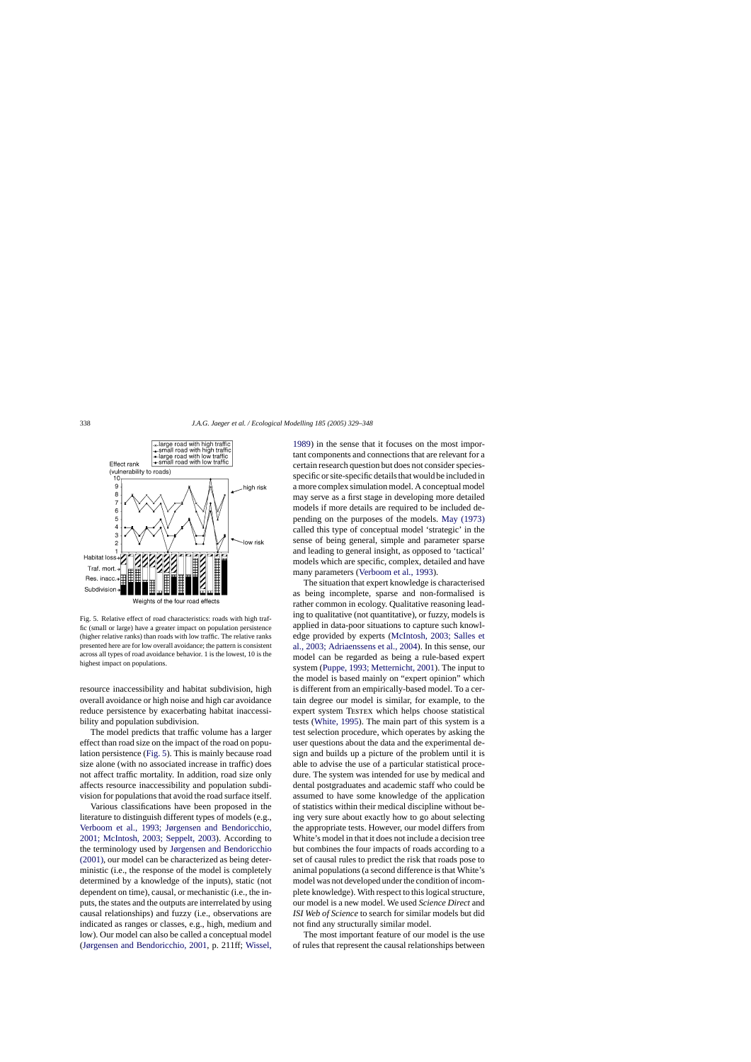<span id="page-9-0"></span>

Fig. 5. Relative effect of road characteristics: roads with high traffic (small or large) have a greater impact on population persistence (higher relative ranks) than roads with low traffic. The relative ranks presented here are for low overall avoidance; the pattern is consistent across all types of road avoidance behavior. 1 is the lowest, 10 is the highest impact on populations.

resource inaccessibility and habitat subdivision, high overall avoidance or high noise and high car avoidance reduce persistence by exacerbating habitat inaccessibility and population subdivision.

The model predicts that traffic volume has a larger effect than road size on the impact of the road on population persistence (Fig. 5). This is mainly because road size alone (with no associated increase in traffic) does not affect traffic mortality. In addition, road size only affects resource inaccessibility and population subdivision for populations that avoid the road surface itself.

Various classifications have been proposed in the literature to distinguish different types of models (e.g., [Verboom et al., 1993; Jørgensen and Bendoricchio](#page-19-0), [2001; McIntosh, 2003; Seppelt, 2003\)](#page-19-0). According to the terminology used by [Jørgensen and Bendoricchio](#page-18-0) [\(2001\), o](#page-18-0)ur model can be characterized as being deterministic (i.e., the response of the model is completely determined by a knowledge of the inputs), static (not dependent on time), causal, or mechanistic (i.e., the inputs, the states and the outputs are interrelated by using causal relationships) and fuzzy (i.e., observations are indicated as ranges or classes, e.g., high, medium and low). Our model can also be called a conceptual model ([Jørgensen and Bendoricchio, 2001,](#page-18-0) p. 211ff; [Wissel,](#page-19-0) [1989\)](#page-19-0) in the sense that it focuses on the most important components and connections that are relevant for a certain research question but does not consider speciesspecific or site-specific details that would be included in a more complex simulation model. A conceptual model may serve as a first stage in developing more detailed models if more details are required to be included depending on the purposes of the models. [May \(1973\)](#page-18-0) called this type of conceptual model 'strategic' in the sense of being general, simple and parameter sparse and leading to general insight, as opposed to 'tactical' models which are specific, complex, detailed and have many parameters ([Verboom et al., 1993\).](#page-19-0)

The situation that expert knowledge is characterised as being incomplete, sparse and non-formalised is rather common in ecology. Qualitative reasoning leading to qualitative (not quantitative), or fuzzy, models is applied in data-poor situations to capture such knowledge provided by experts ([McIntosh, 2003; Salles et](#page-18-0) [al., 2003; Adriaenssens et al., 2004\).](#page-18-0) In this sense, our model can be regarded as being a rule-based expert system ([Puppe, 1993; Metternicht, 2001\).](#page-19-0) The input to the model is based mainly on "expert opinion" which is different from an empirically-based model. To a certain degree our model is similar, for example, to the expert system TESTEX which helps choose statistical tests ([White, 1995\).](#page-19-0) The main part of this system is a test selection procedure, which operates by asking the user questions about the data and the experimental design and builds up a picture of the problem until it is able to advise the use of a particular statistical procedure. The system was intended for use by medical and dental postgraduates and academic staff who could be assumed to have some knowledge of the application of statistics within their medical discipline without being very sure about exactly how to go about selecting the appropriate tests. However, our model differs from White's model in that it does not include a decision tree but combines the four impacts of roads according to a set of causal rules to predict the risk that roads pose to animal populations (a second difference is that White's model was not developed under the condition of incomplete knowledge). With respect to this logical structure, our model is a new model. We used *Science Direct* and *ISI Web of Science* to search for similar models but did not find any structurally similar model.

The most important feature of our model is the use of rules that represent the causal relationships between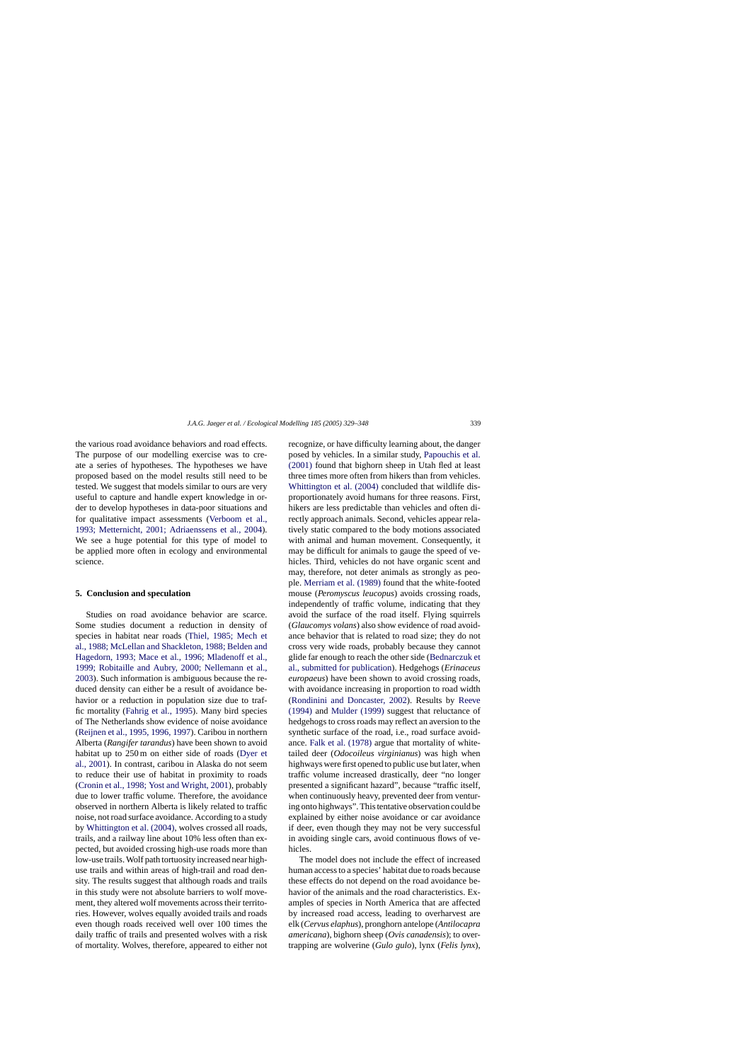the various road avoidance behaviors and road effects. The purpose of our modelling exercise was to create a series of hypotheses. The hypotheses we have proposed based on the model results still need to be tested. We suggest that models similar to ours are very useful to capture and handle expert knowledge in order to develop hypotheses in data-poor situations and for qualitative impact assessments ([Verboom et al.,](#page-19-0) [1993; Metternicht, 2001; Adriaenssens et al., 2004](#page-19-0)). We see a huge potential for this type of model to be applied more often in ecology and environmental science.

#### **5. Conclusion and speculation**

Studies on road avoidance behavior are scarce. Some studies document a reduction in density of species in habitat near roads [\(Thiel, 1985; Mech et](#page-19-0) [al., 1988; McLellan and Shackleton, 1988; Belden and](#page-19-0) [Hagedorn, 1993; Mace et al., 1996; Mladenoff et al.,](#page-19-0) [1999; Robitaille and Aubry, 2000; Nellemann et al.,](#page-19-0) [2003\).](#page-19-0) Such information is ambiguous because the reduced density can either be a result of avoidance behavior or a reduction in population size due to traffic mortality [\(Fahrig et al., 1995\)](#page-17-0). Many bird species of The Netherlands show evidence of noise avoidance ([Reijnen et al., 1995, 1996, 1997\).](#page-19-0) Caribou in northern Alberta (*Rangifer tarandus*) have been shown to avoid habitat up to 250 m on either side of roads [\(Dyer et](#page-17-0) [al., 2001\).](#page-17-0) In contrast, caribou in Alaska do not seem to reduce their use of habitat in proximity to roads ([Cronin et al., 1998; Yost and Wright, 2001\),](#page-17-0) probably due to lower traffic volume. Therefore, the avoidance observed in northern Alberta is likely related to traffic noise, not road surface avoidance. According to a study by [Whittington et al. \(2004\), w](#page-19-0)olves crossed all roads, trails, and a railway line about 10% less often than expected, but avoided crossing high-use roads more than low-use trails. Wolf path tortuosity increased near highuse trails and within areas of high-trail and road density. The results suggest that although roads and trails in this study were not absolute barriers to wolf movement, they altered wolf movements across their territories. However, wolves equally avoided trails and roads even though roads received well over 100 times the daily traffic of trails and presented wolves with a risk of mortality. Wolves, therefore, appeared to either not recognize, or have difficulty learning about, the danger posed by vehicles. In a similar study, [Papouchis et al.](#page-19-0) [\(2001\)](#page-19-0) found that bighorn sheep in Utah fled at least three times more often from hikers than from vehicles. [Whittington et al. \(2004\)](#page-19-0) concluded that wildlife disproportionately avoid humans for three reasons. First, hikers are less predictable than vehicles and often directly approach animals. Second, vehicles appear relatively static compared to the body motions associated with animal and human movement. Consequently, it may be difficult for animals to gauge the speed of vehicles. Third, vehicles do not have organic scent and may, therefore, not deter animals as strongly as people. [Merriam et al. \(1989\)](#page-18-0) found that the white-footed mouse (*Peromyscus leucopus*) avoids crossing roads, independently of traffic volume, indicating that they avoid the surface of the road itself. Flying squirrels (*Glaucomys volans*) also show evidence of road avoidance behavior that is related to road size; they do not cross very wide roads, probably because they cannot glide far enough to reach the other side [\(Bednarczuk et](#page-17-0) [al., submitted for publication\).](#page-17-0) Hedgehogs (*Erinaceus europaeus*) have been shown to avoid crossing roads, with avoidance increasing in proportion to road width [\(Rondinini and Doncaster, 2002](#page-19-0)). Results by [Reeve](#page-19-0) [\(1994\)](#page-19-0) and [Mulder \(1999\)](#page-18-0) suggest that reluctance of hedgehogs to cross roads may reflect an aversion to the synthetic surface of the road, i.e., road surface avoidance. [Falk et al. \(1978\)](#page-17-0) argue that mortality of whitetailed deer (*Odocoileus virginianus*) was high when highways were first opened to public use but later, when traffic volume increased drastically, deer "no longer presented a significant hazard", because "traffic itself, when continuously heavy, prevented deer from venturing onto highways". This tentative observation could be explained by either noise avoidance or car avoidance if deer, even though they may not be very successful in avoiding single cars, avoid continuous flows of vehicles.

The model does not include the effect of increased human access to a species' habitat due to roads because these effects do not depend on the road avoidance behavior of the animals and the road characteristics. Examples of species in North America that are affected by increased road access, leading to overharvest are elk (*Cervus elaphus*), pronghorn antelope (*Antilocapra americana*), bighorn sheep (*Ovis canadensis*); to overtrapping are wolverine (*Gulo gulo*), lynx (*Felis lynx*),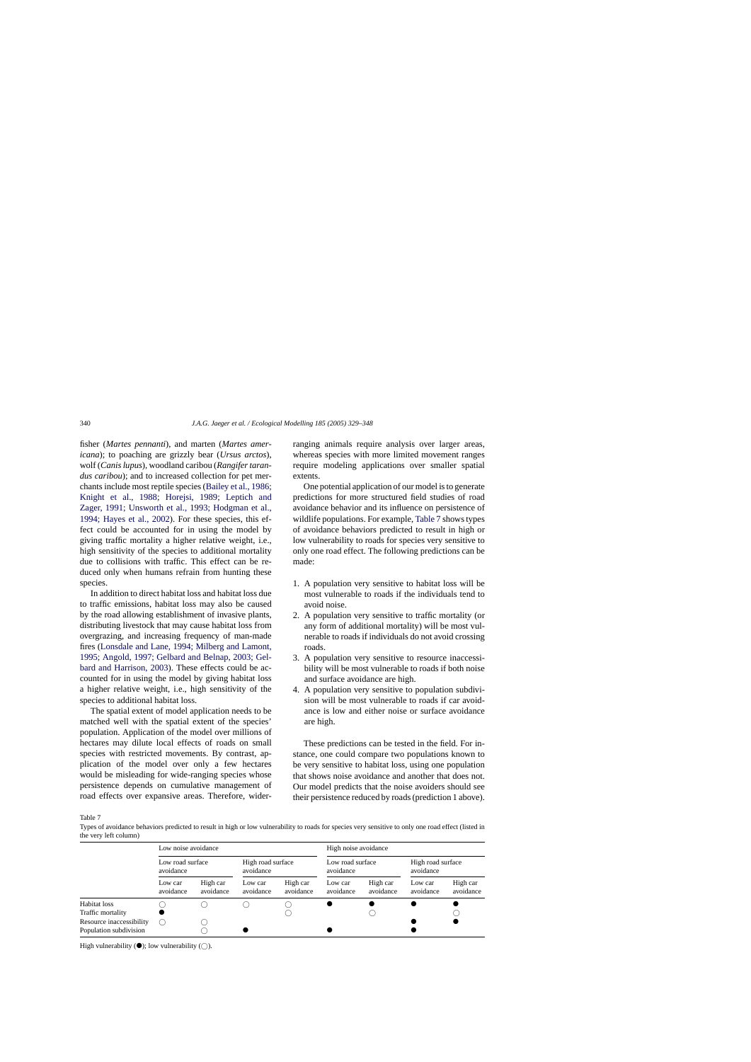fisher (*Martes pennanti*), and marten (*Martes americana*); to poaching are grizzly bear (*Ursus arctos*), wolf (*Canis lupus*), woodland caribou (*Rangifer tarandus caribou*); and to increased collection for pet merchants include most reptile species ([Bailey et al., 1986;](#page-17-0) [Knight et al., 1988; Horejsi, 1989; Leptich and](#page-17-0) [Zager, 1991; Unsworth et al., 1993; Hodgman et al.,](#page-17-0) [1994; Hayes et al., 2002\)](#page-17-0). For these species, this effect could be accounted for in using the model by giving traffic mortality a higher relative weight, i.e., high sensitivity of the species to additional mortality due to collisions with traffic. This effect can be reduced only when humans refrain from hunting these species.

In addition to direct habitat loss and habitat loss due to traffic emissions, habitat loss may also be caused by the road allowing establishment of invasive plants, distributing livestock that may cause habitat loss from overgrazing, and increasing frequency of man-made fires ([Lonsdale and Lane, 1994; Milberg and Lamont,](#page-18-0) [1995; Angold, 1997; Gelbard and Belnap, 2003; Gel](#page-18-0)[bard and Harrison, 2003\)](#page-18-0). These effects could be accounted for in using the model by giving habitat loss a higher relative weight, i.e., high sensitivity of the species to additional habitat loss.

The spatial extent of model application needs to be matched well with the spatial extent of the species' population. Application of the model over millions of hectares may dilute local effects of roads on small species with restricted movements. By contrast, application of the model over only a few hectares would be misleading for wide-ranging species whose persistence depends on cumulative management of road effects over expansive areas. Therefore, widerranging animals require analysis over larger areas, whereas species with more limited movement ranges require modeling applications over smaller spatial extents.

One potential application of our model is to generate predictions for more structured field studies of road avoidance behavior and its influence on persistence of wildlife populations. For example, Table 7 shows types of avoidance behaviors predicted to result in high or low vulnerability to roads for species very sensitive to only one road effect. The following predictions can be made:

- 1. A population very sensitive to habitat loss will be most vulnerable to roads if the individuals tend to avoid noise.
- 2. A population very sensitive to traffic mortality (or any form of additional mortality) will be most vulnerable to roads if individuals do not avoid crossing roads.
- 3. A population very sensitive to resource inaccessibility will be most vulnerable to roads if both noise and surface avoidance are high.
- 4. A population very sensitive to population subdivision will be most vulnerable to roads if car avoidance is low and either noise or surface avoidance are high.

These predictions can be tested in the field. For instance, one could compare two populations known to be very sensitive to habitat loss, using one population that shows noise avoidance and another that does not. Our model predicts that the noise avoiders should see their persistence reduced by roads (prediction 1 above).

Table 7

Types of avoidance behaviors predicted to result in high or low vulnerability to roads for species very sensitive to only one road effect (listed in the very left column)

|                          | Low noise avoidance           |                       |                                |                                            | High noise avoidance |                       |                      |                       |  |  |
|--------------------------|-------------------------------|-----------------------|--------------------------------|--------------------------------------------|----------------------|-----------------------|----------------------|-----------------------|--|--|
|                          | Low road surface<br>avoidance |                       | High road surface<br>avoidance | Low road surface<br>avoidance<br>avoidance |                      | High road surface     |                      |                       |  |  |
|                          | Low car<br>avoidance          | High car<br>avoidance | Low car<br>avoidance           | High car<br>avoidance                      | Low car<br>avoidance | High car<br>avoidance | Low car<br>avoidance | High car<br>avoidance |  |  |
| Habitat loss             |                               |                       |                                |                                            |                      |                       |                      |                       |  |  |
| Traffic mortality        |                               |                       |                                |                                            |                      |                       |                      |                       |  |  |
| Resource inaccessibility |                               |                       |                                |                                            |                      |                       |                      |                       |  |  |
| Population subdivision   |                               |                       |                                |                                            |                      |                       |                      |                       |  |  |

High vulnerability  $(①)$ ; low vulnerability  $(③)$ .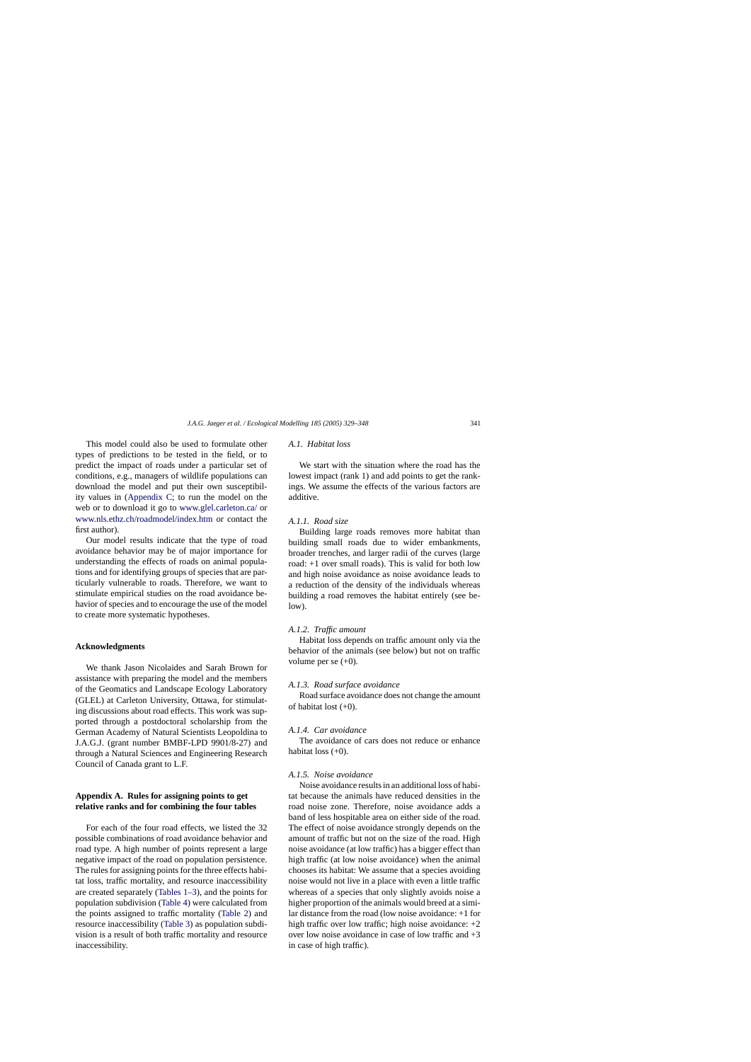<span id="page-12-0"></span>This model could also be used to formulate other types of predictions to be tested in the field, or to predict the impact of roads under a particular set of conditions, e.g., managers of wildlife populations can download the model and put their own susceptibility values in [\(Appendix C;](#page-17-0) to run the model on the web or to download it go to [www.glel.carleton.ca/](http://www.glel.carleton.ca/) or [www.nls.ethz.ch/roadmodel/index.htm](http://www.nls.ethz.ch/roadmodel/index.htm) or contact the first author).

Our model results indicate that the type of road avoidance behavior may be of major importance for understanding the effects of roads on animal populations and for identifying groups of species that are particularly vulnerable to roads. Therefore, we want to stimulate empirical studies on the road avoidance behavior of species and to encourage the use of the model to create more systematic hypotheses.

#### **Acknowledgments**

We thank Jason Nicolaides and Sarah Brown for assistance with preparing the model and the members of the Geomatics and Landscape Ecology Laboratory (GLEL) at Carleton University, Ottawa, for stimulating discussions about road effects. This work was supported through a postdoctoral scholarship from the German Academy of Natural Scientists Leopoldina to J.A.G.J. (grant number BMBF-LPD 9901/8-27) and through a Natural Sciences and Engineering Research Council of Canada grant to L.F.

# **AppendixA. Rules for assigning points to get relative ranks and for combining the four tables**

For each of the four road effects, we listed the 32 possible combinations of road avoidance behavior and road type. A high number of points represent a large negative impact of the road on population persistence. The rules for assigning points for the three effects habitat loss, traffic mortality, and resource inaccessibility are created separately [\(Tables 1–3\),](#page-4-0) and the points for population subdivision [\(Table 4\)](#page-5-0) were calculated from the points assigned to traffic mortality [\(Table 2\)](#page-5-0) and resource inaccessibility ([Table 3\)](#page-5-0) as population subdivision is a result of both traffic mortality and resource inaccessibility.

## *A.1. Habitat loss*

We start with the situation where the road has the lowest impact (rank 1) and add points to get the rankings. We assume the effects of the various factors are additive.

# *A.1.1. Road size*

Building large roads removes more habitat than building small roads due to wider embankments, broader trenches, and larger radii of the curves (large road: +1 over small roads). This is valid for both low and high noise avoidance as noise avoidance leads to a reduction of the density of the individuals whereas building a road removes the habitat entirely (see below).

#### *A.1.2. Traffic amount*

Habitat loss depends on traffic amount only via the behavior of the animals (see below) but not on traffic volume per se (+0).

#### *A.1.3. Road surface avoidance*

Road surface avoidance does not change the amount of habitat lost (+0).

#### *A.1.4. Car avoidance*

The avoidance of cars does not reduce or enhance habitat loss (+0).

#### *A.1.5. Noise avoidance*

Noise avoidance results in an additional loss of habitat because the animals have reduced densities in the road noise zone. Therefore, noise avoidance adds a band of less hospitable area on either side of the road. The effect of noise avoidance strongly depends on the amount of traffic but not on the size of the road. High noise avoidance (at low traffic) has a bigger effect than high traffic (at low noise avoidance) when the animal chooses its habitat: We assume that a species avoiding noise would not live in a place with even a little traffic whereas of a species that only slightly avoids noise a higher proportion of the animals would breed at a similar distance from the road (low noise avoidance: +1 for high traffic over low traffic; high noise avoidance:  $+2$ over low noise avoidance in case of low traffic and +3 in case of high traffic).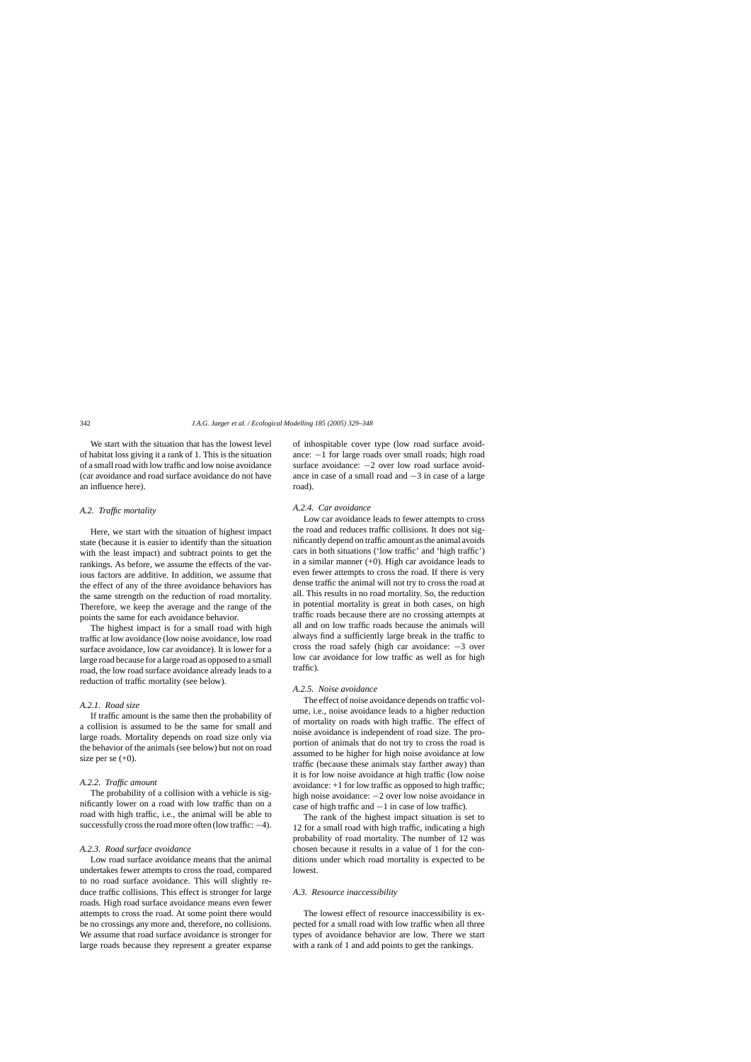We start with the situation that has the lowest level of habitat loss giving it a rank of 1. This is the situation of a small road with low traffic and low noise avoidance (car avoidance and road surface avoidance do not have an influence here).

## *A.2. Traffic mortality*

Here, we start with the situation of highest impact state (because it is easier to identify than the situation with the least impact) and subtract points to get the rankings. As before, we assume the effects of the various factors are additive. In addition, we assume that the effect of any of the three avoidance behaviors has the same strength on the reduction of road mortality. Therefore, we keep the average and the range of the points the same for each avoidance behavior.

The highest impact is for a small road with high traffic at low avoidance (low noise avoidance, low road surface avoidance, low car avoidance). It is lower for a large road because for a large road as opposed to a small road, the low road surface avoidance already leads to a reduction of traffic mortality (see below).

# *A.2.1. Road size*

If traffic amount is the same then the probability of a collision is assumed to be the same for small and large roads. Mortality depends on road size only via the behavior of the animals (see below) but not on road size per se  $(+0)$ .

## *A.2.2. Traffic amount*

The probability of a collision with a vehicle is significantly lower on a road with low traffic than on a road with high traffic, i.e., the animal will be able to successfully cross the road more often (low traffic: −4).

#### *A.2.3. Road surface avoidance*

Low road surface avoidance means that the animal undertakes fewer attempts to cross the road, compared to no road surface avoidance. This will slightly reduce traffic collisions. This effect is stronger for large roads. High road surface avoidance means even fewer attempts to cross the road. At some point there would be no crossings any more and, therefore, no collisions. We assume that road surface avoidance is stronger for large roads because they represent a greater expanse of inhospitable cover type (low road surface avoidance: −1 for large roads over small roads; high road surface avoidance: −2 over low road surface avoidance in case of a small road and −3 in case of a large road).

# *A.2.4. Car avoidance*

Low car avoidance leads to fewer attempts to cross the road and reduces traffic collisions. It does not significantly depend on traffic amount as the animal avoids cars in both situations ('low traffic' and 'high traffic') in a similar manner  $(+0)$ . High car avoidance leads to even fewer attempts to cross the road. If there is very dense traffic the animal will not try to cross the road at all. This results in no road mortality. So, the reduction in potential mortality is great in both cases, on high traffic roads because there are no crossing attempts at all and on low traffic roads because the animals will always find a sufficiently large break in the traffic to cross the road safely (high car avoidance: −3 over low car avoidance for low traffic as well as for high traffic).

#### *A.2.5. Noise avoidance*

The effect of noise avoidance depends on traffic volume, i.e., noise avoidance leads to a higher reduction of mortality on roads with high traffic. The effect of noise avoidance is independent of road size. The proportion of animals that do not try to cross the road is assumed to be higher for high noise avoidance at low traffic (because these animals stay farther away) than it is for low noise avoidance at high traffic (low noise avoidance: +1 for low traffic as opposed to high traffic; high noise avoidance: −2 over low noise avoidance in case of high traffic and −1 in case of low traffic).

The rank of the highest impact situation is set to 12 for a small road with high traffic, indicating a high probability of road mortality. The number of 12 was chosen because it results in a value of 1 for the conditions under which road mortality is expected to be lowest.

## *A.3. Resource inaccessibility*

The lowest effect of resource inaccessibility is expected for a small road with low traffic when all three types of avoidance behavior are low. There we start with a rank of 1 and add points to get the rankings.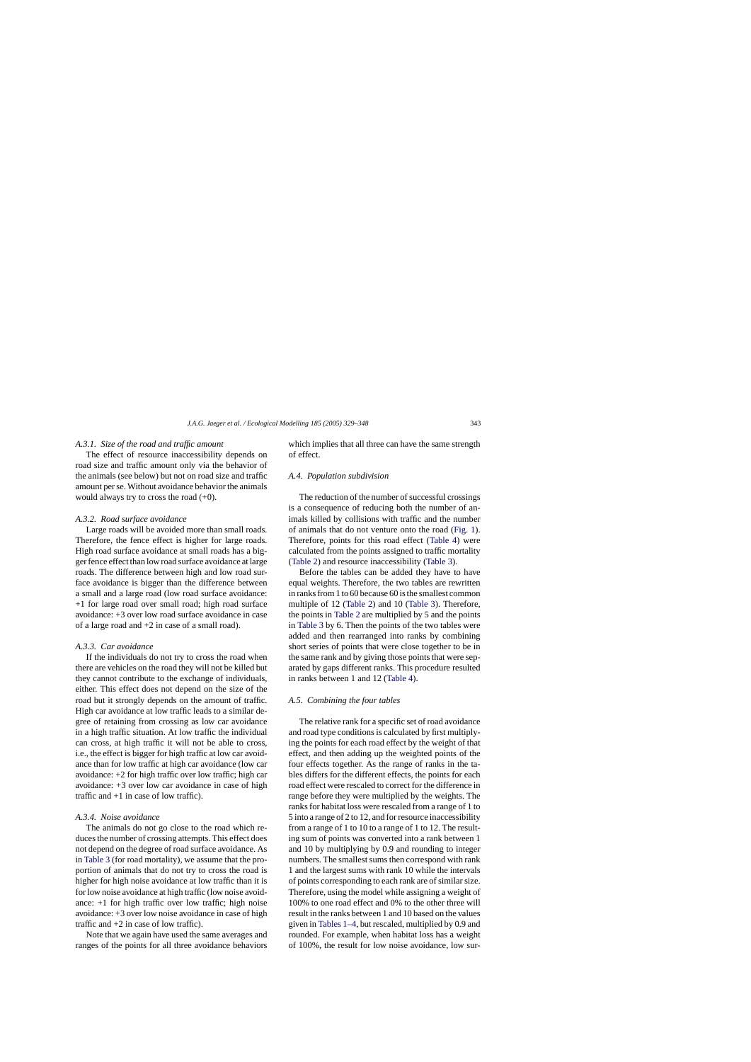#### *A.3.1. Size of the road and traffic amount*

The effect of resource inaccessibility depends on road size and traffic amount only via the behavior of the animals (see below) but not on road size and traffic amount per se. Without avoidance behavior the animals would always try to cross the road (+0).

#### *A.3.2. Road surface avoidance*

Large roads will be avoided more than small roads. Therefore, the fence effect is higher for large roads. High road surface avoidance at small roads has a bigger fence effect than low road surface avoidance at large roads. The difference between high and low road surface avoidance is bigger than the difference between a small and a large road (low road surface avoidance: +1 for large road over small road; high road surface avoidance: +3 over low road surface avoidance in case of a large road and  $+2$  in case of a small road).

## *A.3.3. Car avoidance*

If the individuals do not try to cross the road when there are vehicles on the road they will not be killed but they cannot contribute to the exchange of individuals, either. This effect does not depend on the size of the road but it strongly depends on the amount of traffic. High car avoidance at low traffic leads to a similar degree of retaining from crossing as low car avoidance in a high traffic situation. At low traffic the individual can cross, at high traffic it will not be able to cross, i.e., the effect is bigger for high traffic at low car avoidance than for low traffic at high car avoidance (low car avoidance: +2 for high traffic over low traffic; high car avoidance: +3 over low car avoidance in case of high traffic and +1 in case of low traffic).

#### *A.3.4. Noise avoidance*

The animals do not go close to the road which reduces the number of crossing attempts. This effect does not depend on the degree of road surface avoidance. As in [Table 3](#page-5-0) (for road mortality), we assume that the proportion of animals that do not try to cross the road is higher for high noise avoidance at low traffic than it is for low noise avoidance at high traffic (low noise avoidance: +1 for high traffic over low traffic; high noise avoidance: +3 over low noise avoidance in case of high traffic and +2 in case of low traffic).

Note that we again have used the same averages and ranges of the points for all three avoidance behaviors

which implies that all three can have the same strength of effect.

#### *A.4. Population subdivision*

The reduction of the number of successful crossings is a consequence of reducing both the number of animals killed by collisions with traffic and the number of animals that do not venture onto the road [\(Fig. 1\).](#page-2-0) Therefore, points for this road effect ([Table 4\)](#page-5-0) were calculated from the points assigned to traffic mortality [\(Table 2\)](#page-5-0) and resource inaccessibility [\(Table 3\).](#page-5-0)

Before the tables can be added they have to have equal weights. Therefore, the two tables are rewritten in ranks from 1 to 60 because 60 is the smallest common multiple of 12 ([Table 2\)](#page-5-0) and 10 [\(Table 3\).](#page-5-0) Therefore, the points in [Table 2](#page-5-0) are multiplied by 5 and the points in [Table 3](#page-5-0) by 6. Then the points of the two tables were added and then rearranged into ranks by combining short series of points that were close together to be in the same rank and by giving those points that were separated by gaps different ranks. This procedure resulted in ranks between 1 and 12 ([Table 4\).](#page-5-0)

## *A.5. Combining the four tables*

The relative rank for a specific set of road avoidance and road type conditions is calculated by first multiplying the points for each road effect by the weight of that effect, and then adding up the weighted points of the four effects together. As the range of ranks in the tables differs for the different effects, the points for each road effect were rescaled to correct for the difference in range before they were multiplied by the weights. The ranks for habitat loss were rescaled from a range of 1 to 5 into a range of 2 to 12, and for resource inaccessibility from a range of 1 to 10 to a range of 1 to 12. The resulting sum of points was converted into a rank between 1 and 10 by multiplying by 0.9 and rounding to integer numbers. The smallest sums then correspond with rank 1 and the largest sums with rank 10 while the intervals of points corresponding to each rank are of similar size. Therefore, using the model while assigning a weight of 100% to one road effect and 0% to the other three will result in the ranks between 1 and 10 based on the values given in [Tables 1–4, b](#page-4-0)ut rescaled, multiplied by 0.9 and rounded. For example, when habitat loss has a weight of 100%, the result for low noise avoidance, low sur-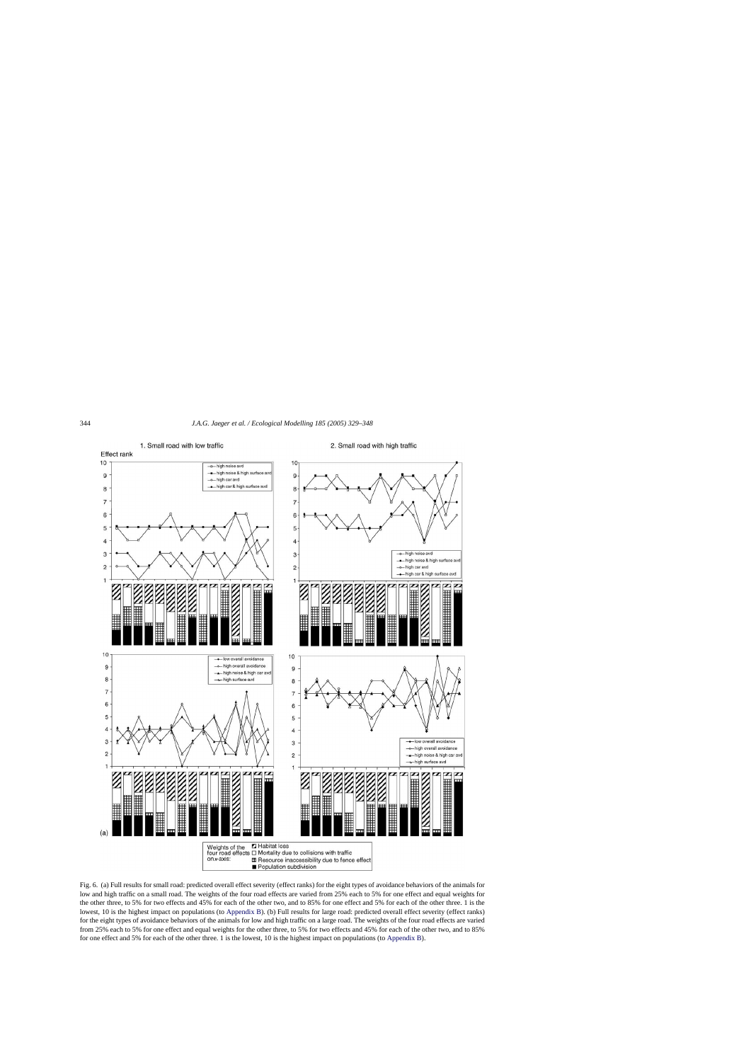<span id="page-15-0"></span>

Fig. 6. (a) Full results for small road: predicted overall effect severity (effect ranks) for the eight types of avoidance behaviors of the animals for low and high traffic on a small road. The weights of the four road effects are varied from 25% each to 5% for one effect and equal weights for the other three, to 5% for two effects and 45% for each of the other two, and to 85% for one effect and 5% for each of the other three. 1 is the lowest, 10 is the highest impact on populations (to [Appendix B\).](#page-17-0) (b) Full results for large road: predicted overall effect severity (effect ranks) for the eight types of avoidance behaviors of the animals for low and high traffic on a large road. The weights of the four road effects are varied from 25% each to 5% for one effect and equal weights for the other three, to 5% for two effects and 45% for each of the other two, and to 85% for one effect and 5% for each of the other three. 1 is the lowest, 10 is the highest impact on populations (to [Appendix B\).](#page-17-0)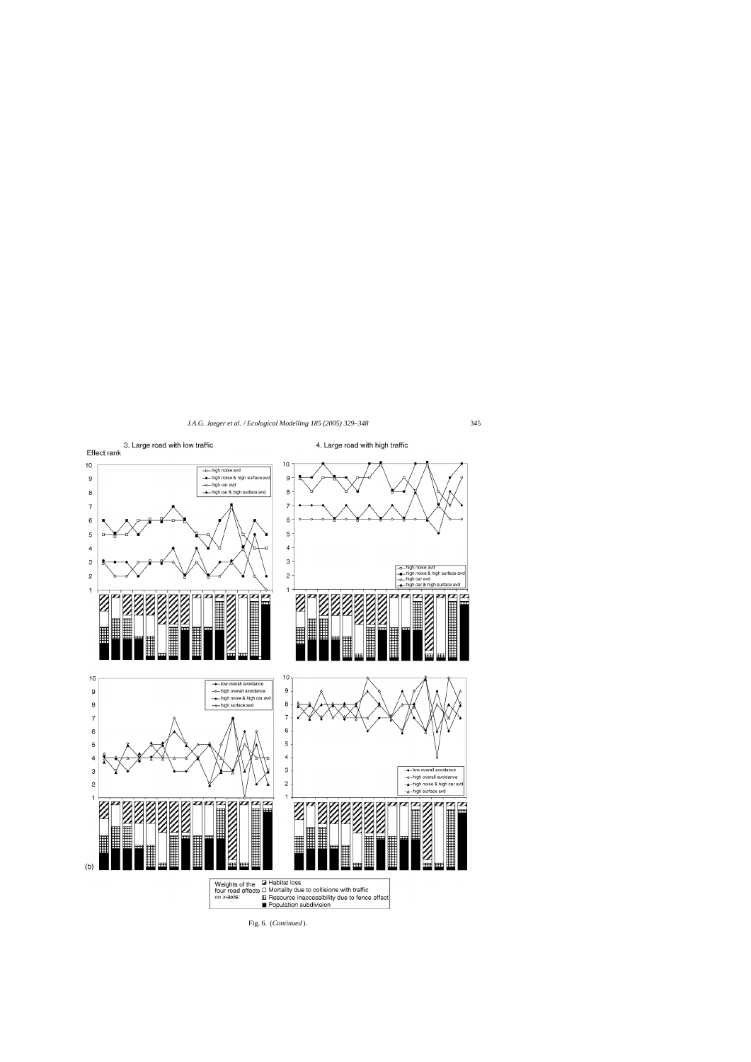

Fig. 6. (*Continued* ).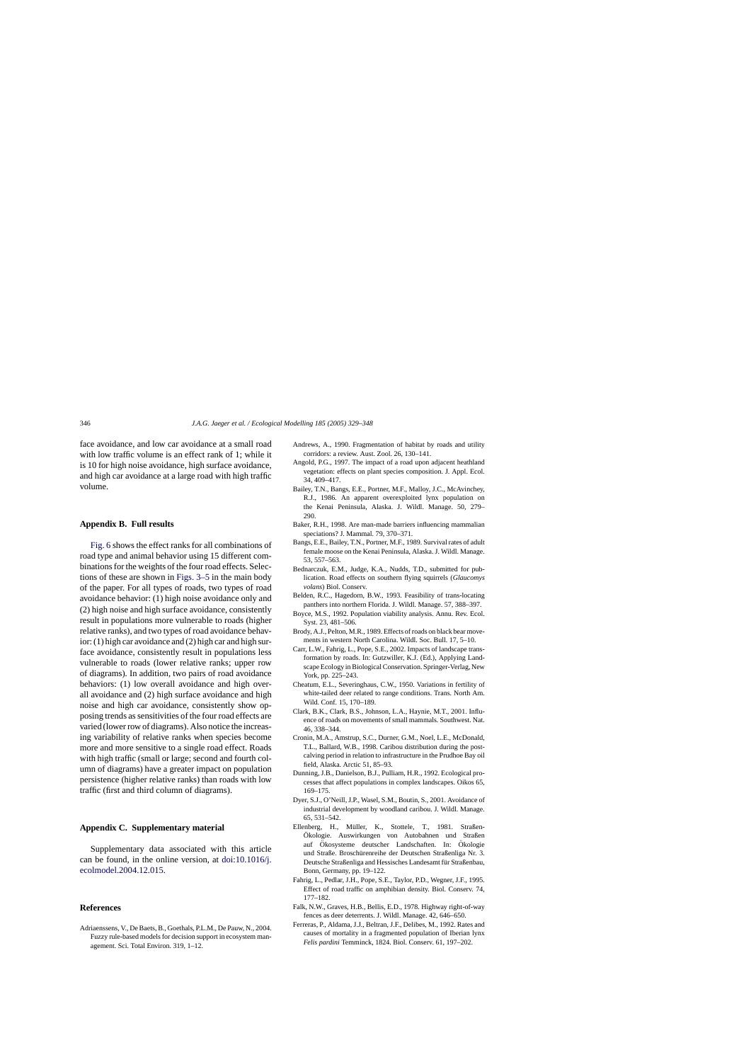<span id="page-17-0"></span>face avoidance, and low car avoidance at a small road with low traffic volume is an effect rank of 1; while it is 10 for high noise avoidance, high surface avoidance, and high car avoidance at a large road with high traffic volume.

#### **AppendixB. Full results**

[Fig. 6](#page-15-0) shows the effect ranks for all combinations of road type and animal behavior using 15 different combinations for the weights of the four road effects. Selections of these are shown in [Figs. 3–5](#page-6-0) in the main body of the paper. For all types of roads, two types of road avoidance behavior: (1) high noise avoidance only and (2) high noise and high surface avoidance, consistently result in populations more vulnerable to roads (higher relative ranks), and two types of road avoidance behavior: (1) high car avoidance and (2) high car and high surface avoidance, consistently result in populations less vulnerable to roads (lower relative ranks; upper row of diagrams). In addition, two pairs of road avoidance behaviors: (1) low overall avoidance and high overall avoidance and (2) high surface avoidance and high noise and high car avoidance, consistently show opposing trends as sensitivities of the four road effects are varied (lower row of diagrams). Also notice the increasing variability of relative ranks when species become more and more sensitive to a single road effect. Roads with high traffic (small or large; second and fourth column of diagrams) have a greater impact on population persistence (higher relative ranks) than roads with low traffic (first and third column of diagrams).

## **AppendixC. Supplementary material**

Supplementary data associated with this article can be found, in the online version, at [doi:10.1016/j.](http://dx.doi.org/10.1016/j.ecolmodel.2004.12.015) [ecolmodel.2004.12.015.](http://dx.doi.org/10.1016/j.ecolmodel.2004.12.015)

#### **References**

Adriaenssens, V., De Baets, B., Goethals, P.L.M., De Pauw, N., 2004. Fuzzy rule-based models for decision support in ecosystem management. Sci. Total Environ. 319, 1–12.

- Andrews, A., 1990. Fragmentation of habitat by roads and utility corridors: a review. Aust. Zool. 26, 130–141.
- Angold, P.G., 1997. The impact of a road upon adjacent heathland vegetation: effects on plant species composition. J. Appl. Ecol. 34, 409–417.
- Bailey, T.N., Bangs, E.E., Portner, M.F., Malloy, J.C., McAvinchey, R.J., 1986. An apparent overexploited lynx population on the Kenai Peninsula, Alaska. J. Wildl. Manage. 50, 279– 290.
- Baker, R.H., 1998. Are man-made barriers influencing mammalian speciations? J. Mammal. 79, 370–371.
- Bangs, E.E., Bailey, T.N., Portner, M.F., 1989. Survival rates of adult female moose on the Kenai Peninsula, Alaska. J. Wildl. Manage. 53, 557–563.
- Bednarczuk, E.M., Judge, K.A., Nudds, T.D., submitted for publication. Road effects on southern flying squirrels (*Glaucomys volans*) Biol. Conserv.
- Belden, R.C., Hagedorn, B.W., 1993. Feasibility of trans-locating panthers into northern Florida. J. Wildl. Manage. 57, 388–397.
- Boyce, M.S., 1992. Population viability analysis. Annu. Rev. Ecol. Syst. 23, 481–506.
- Brody, A.J., Pelton, M.R., 1989. Effects of roads on black bear movements in western North Carolina. Wildl. Soc. Bull. 17, 5–10.
- Carr, L.W., Fahrig, L., Pope, S.E., 2002. Impacts of landscape transformation by roads. In: Gutzwiller, K.J. (Ed.), Applying Landscape Ecology in Biological Conservation. Springer-Verlag, New York, pp. 225–243.
- Cheatum, E.L., Severinghaus, C.W., 1950. Variations in fertility of white-tailed deer related to range conditions. Trans. North Am. Wild. Conf. 15, 170–189.
- Clark, B.K., Clark, B.S., Johnson, L.A., Haynie, M.T., 2001. Influence of roads on movements of small mammals. Southwest. Nat. 46, 338–344.
- Cronin, M.A., Amstrup, S.C., Durner, G.M., Noel, L.E., McDonald, T.L., Ballard, W.B., 1998. Caribou distribution during the postcalving period in relation to infrastructure in the Prudhoe Bay oil field, Alaska. Arctic 51, 85–93.
- Dunning, J.B., Danielson, B.J., Pulliam, H.R., 1992. Ecological processes that affect populations in complex landscapes. Oikos 65, 169–175.
- Dyer, S.J., O'Neill, J.P., Wasel, S.M., Boutin, S., 2001. Avoidance of industrial development by woodland caribou. J. Wildl. Manage. 65, 531–542.
- Ellenberg, H., Müller, K., Stottele, T., 1981. Straßen-Okologie. Auswirkungen von Autobahnen und Straßen ¨ auf Ökosysteme deutscher Landschaften. In: Ökologie und Straße. Broschürenreihe der Deutschen Straßenliga Nr. 3. Deutsche Straßenliga and Hessisches Landesamt für Straßenbau, Bonn, Germany, pp. 19–122.
- Fahrig, L., Pedlar, J.H., Pope, S.E., Taylor, P.D., Wegner, J.F., 1995. Effect of road traffic on amphibian density. Biol. Conserv. 74, 177–182.
- Falk, N.W., Graves, H.B., Bellis, E.D., 1978. Highway right-of-way fences as deer deterrents. J. Wildl. Manage. 42, 646–650.
- Ferreras, P., Aldama, J.J., Beltran, J.F., Delibes, M., 1992. Rates and causes of mortality in a fragmented population of Iberian lynx *Felis pardini* Temminck, 1824. Biol. Conserv. 61, 197–202.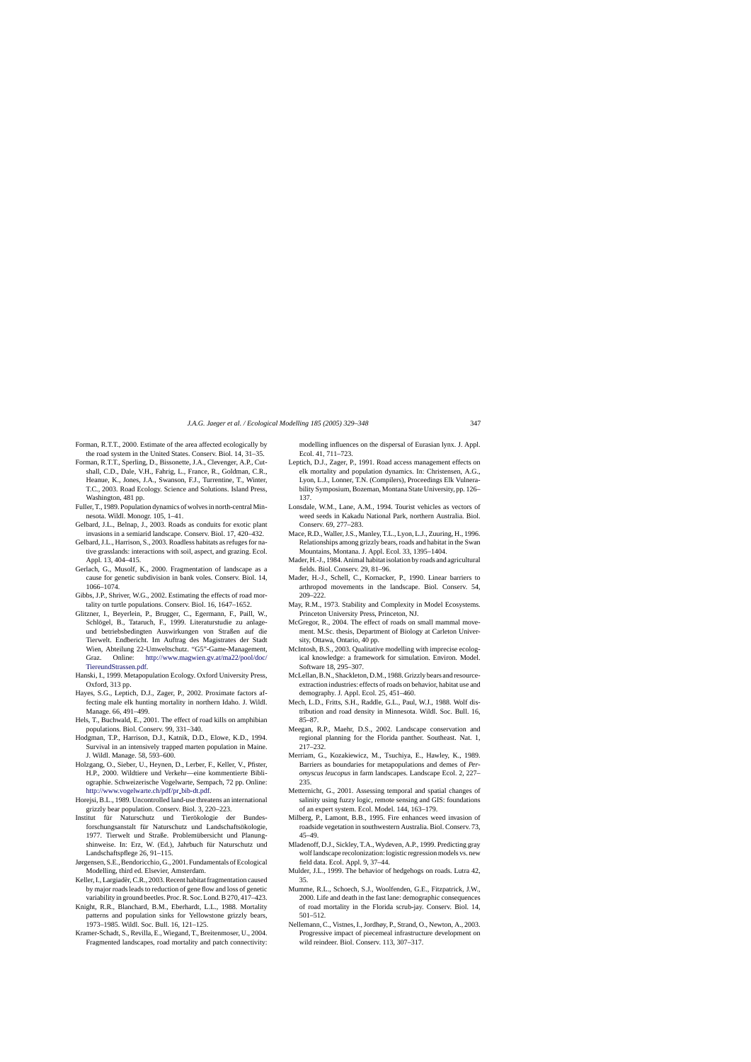- <span id="page-18-0"></span>Forman, R.T.T., 2000. Estimate of the area affected ecologically by the road system in the United States. Conserv. Biol. 14, 31–35.
- Forman, R.T.T., Sperling, D., Bissonette, J.A., Clevenger, A.P., Cutshall, C.D., Dale, V.H., Fahrig, L., France, R., Goldman, C.R., Heanue, K., Jones, J.A., Swanson, F.J., Turrentine, T., Winter, T.C., 2003. Road Ecology. Science and Solutions. Island Press, Washington, 481 pp.
- Fuller, T., 1989. Population dynamics of wolves in north-central Minnesota. Wildl. Monogr. 105, 1–41.
- Gelbard, J.L., Belnap, J., 2003. Roads as conduits for exotic plant invasions in a semiarid landscape. Conserv. Biol. 17, 420–432.
- Gelbard, J.L., Harrison, S., 2003. Roadless habitats as refuges for native grasslands: interactions with soil, aspect, and grazing. Ecol. Appl. 13, 404–415.
- Gerlach, G., Musolf, K., 2000. Fragmentation of landscape as a cause for genetic subdivision in bank voles. Conserv. Biol. 14, 1066–1074.
- Gibbs, J.P., Shriver, W.G., 2002. Estimating the effects of road mortality on turtle populations. Conserv. Biol. 16, 1647–1652.
- Glitzner, I., Beyerlein, P., Brugger, C., Egermann, F., Paill, W., Schlögel, B., Tataruch, F., 1999. Literaturstudie zu anlageund betriebsbedingten Auswirkungen von Straßen auf die Tierwelt. Endbericht. Im Auftrag des Magistrates der Stadt Wien, Abteilung 22-Umweltschutz. "G5"-Game-Management, Graz. Online: [http://www.magwien.gv.at/ma22/pool/doc/](http://www.magwien.gv.at/ma22/pool/doc/tiereundstrassen.pdf) [TiereundStrassen.pdf](http://www.magwien.gv.at/ma22/pool/doc/tiereundstrassen.pdf).
- Hanski, I., 1999. Metapopulation Ecology. Oxford University Press, Oxford, 313 pp.
- Hayes, S.G., Leptich, D.J., Zager, P., 2002. Proximate factors affecting male elk hunting mortality in northern Idaho. J. Wildl. Manage. 66, 491–499.
- Hels, T., Buchwald, E., 2001. The effect of road kills on amphibian populations. Biol. Conserv. 99, 331–340.
- Hodgman, T.P., Harrison, D.J., Katnik, D.D., Elowe, K.D., 1994. Survival in an intensively trapped marten population in Maine. J. Wildl. Manage. 58, 593–600.
- Holzgang, O., Sieber, U., Heynen, D., Lerber, F., Keller, V., Pfister, H.P., 2000. Wildtiere und Verkehr—eine kommentierte Bibliographie. Schweizerische Vogelwarte, Sempach, 72 pp. Online: [http://www.vogelwarte.ch/pdf/pr](http://www.vogelwarte.ch/pdf/pr_bib-dt.pdf)\_bib-dt.pdf.
- Horejsi, B.L., 1989. Uncontrolled land-use threatens an international grizzly bear population. Conserv. Biol. 3, 220–223.
- Institut für Naturschutz und Tierökologie der Bundesforschungsanstalt für Naturschutz und Landschaftsökologie, 1977. Tierwelt und Straße. Problemübersicht und Planungshinweise. In: Erz, W. (Ed.), Jahrbuch für Naturschutz und Landschaftspflege 26, 91–115.
- Jørgensen, S.E., Bendoricchio, G., 2001. Fundamentals of Ecological Modelling, third ed. Elsevier, Amsterdam.
- Keller, I., Largiadèr, C.R., 2003. Recent habitat fragmentation caused by major roads leads to reduction of gene flow and loss of genetic variability in ground beetles. Proc. R. Soc. Lond. B 270, 417–423.
- Knight, R.R., Blanchard, B.M., Eberhardt, L.L., 1988. Mortality patterns and population sinks for Yellowstone grizzly bears, 1973–1985. Wildl. Soc. Bull. 16, 121–125.
- Kramer-Schadt, S., Revilla, E., Wiegand, T., Breitenmoser, U., 2004. Fragmented landscapes, road mortality and patch connectivity:

modelling influences on the dispersal of Eurasian lynx. J. Appl. Ecol. 41, 711–723.

- Leptich, D.J., Zager, P., 1991. Road access management effects on elk mortality and population dynamics. In: Christensen, A.G., Lyon, L.J., Lonner, T.N. (Compilers), Proceedings Elk Vulnerability Symposium, Bozeman, Montana State University, pp. 126– 137.
- Lonsdale, W.M., Lane, A.M., 1994. Tourist vehicles as vectors of weed seeds in Kakadu National Park, northern Australia. Biol. Conserv. 69, 277–283.
- Mace, R.D., Waller, J.S., Manley, T.L., Lyon, L.J., Zuuring, H., 1996. Relationships among grizzly bears, roads and habitat in the Swan Mountains, Montana. J. Appl. Ecol. 33, 1395–1404.
- Mader, H.-J., 1984. Animal habitat isolation by roads and agricultural fields. Biol. Conserv. 29, 81–96.
- Mader, H.-J., Schell, C., Kornacker, P., 1990. Linear barriers to arthropod movements in the landscape. Biol. Conserv. 54, 209–222.
- May, R.M., 1973. Stability and Complexity in Model Ecosystems. Princeton University Press, Princeton, NJ.
- McGregor, R., 2004. The effect of roads on small mammal movement. M.Sc. thesis, Department of Biology at Carleton University, Ottawa, Ontario, 40 pp.
- McIntosh, B.S., 2003. Qualitative modelling with imprecise ecological knowledge: a framework for simulation. Environ. Model. Software 18, 295–307.
- McLellan, B.N., Shackleton, D.M., 1988. Grizzly bears and resourceextraction industries: effects of roads on behavior, habitat use and demography. J. Appl. Ecol. 25, 451–460.
- Mech, L.D., Fritts, S.H., Raddle, G.L., Paul, W.J., 1988. Wolf distribution and road density in Minnesota. Wildl. Soc. Bull. 16, 85–87.
- Meegan, R.P., Maehr, D.S., 2002. Landscape conservation and regional planning for the Florida panther. Southeast. Nat. 1, 217–232.
- Merriam, G., Kozakiewicz, M., Tsuchiya, E., Hawley, K., 1989. Barriers as boundaries for metapopulations and demes of *Peromyscus leucopus* in farm landscapes. Landscape Ecol. 2, 227– 235.
- Metternicht, G., 2001. Assessing temporal and spatial changes of salinity using fuzzy logic, remote sensing and GIS: foundations of an expert system. Ecol. Model. 144, 163–179.
- Milberg, P., Lamont, B.B., 1995. Fire enhances weed invasion of roadside vegetation in southwestern Australia. Biol. Conserv. 73, 45–49.
- Mladenoff, D.J., Sickley, T.A., Wydeven, A.P., 1999. Predicting gray wolf landscape recolonization: logistic regression models vs. new field data. Ecol. Appl. 9, 37–44.
- Mulder, J.L., 1999. The behavior of hedgehogs on roads. Lutra 42, 35.
- Mumme, R.L., Schoech, S.J., Woolfenden, G.E., Fitzpatrick, J.W., 2000. Life and death in the fast lane: demographic consequences of road mortality in the Florida scrub-jay. Conserv. Biol. 14, 501–512.
- Nellemann, C., Vistnes, I., Jordhøy, P., Strand, O., Newton, A., 2003. Progressive impact of piecemeal infrastructure development on wild reindeer. Biol. Conserv. 113, 307–317.